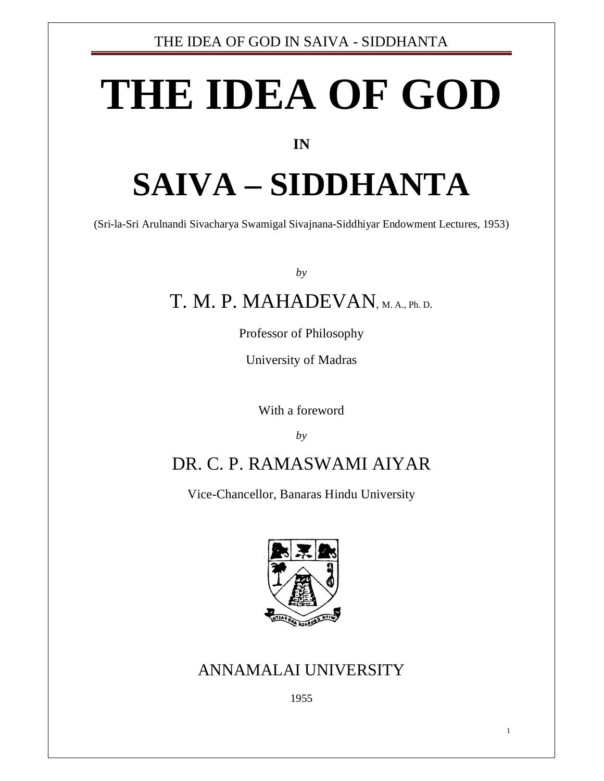# **THE IDEA OF GOD**

#### **IN**

## **SAIVA – SIDDHANTA**

(Sri-la-Sri Arulnandi Sivacharya Swamigal Sivajnana-Siddhiyar Endowment Lectures, 1953)

*by*

## T. M. P. MAHADEVAN, M. A., Ph. D.

Professor of Philosophy

University of Madras

With a foreword

*by*

## DR. C. P. RAMASWAMI AIYAR

Vice-Chancellor, Banaras Hindu University



### ANNAMALAI UNIVERSITY

1955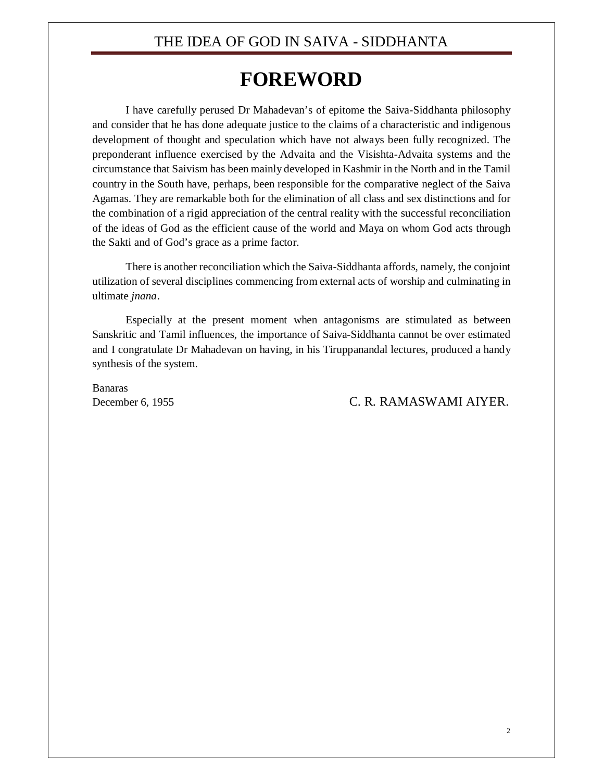## **FOREWORD**

I have carefully perused Dr Mahadevan's of epitome the Saiva-Siddhanta philosophy and consider that he has done adequate justice to the claims of a characteristic and indigenous development of thought and speculation which have not always been fully recognized. The preponderant influence exercised by the Advaita and the Visishta-Advaita systems and the circumstance that Saivism has been mainly developed in Kashmir in the North and in the Tamil country in the South have, perhaps, been responsible for the comparative neglect of the Saiva Agamas. They are remarkable both for the elimination of all class and sex distinctions and for the combination of a rigid appreciation of the central reality with the successful reconciliation of the ideas of God as the efficient cause of the world and Maya on whom God acts through the Sakti and of God's grace as a prime factor.

There is another reconciliation which the Saiva-Siddhanta affords, namely, the conjoint utilization of several disciplines commencing from external acts of worship and culminating in ultimate *jnana*.

Especially at the present moment when antagonisms are stimulated as between Sanskritic and Tamil influences, the importance of Saiva-Siddhanta cannot be over estimated and I congratulate Dr Mahadevan on having, in his Tiruppanandal lectures, produced a handy synthesis of the system.

Banaras

#### December 6, 1955 C. R. RAMASWAMI AIYER.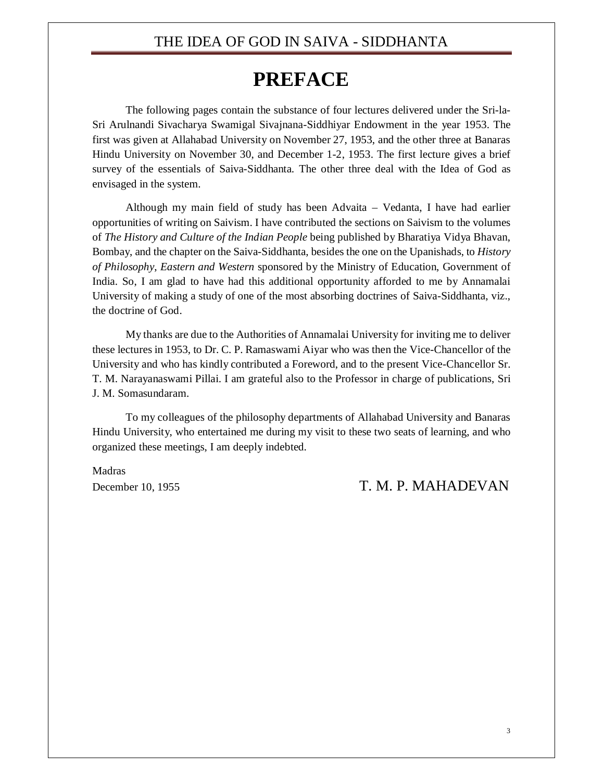## **PREFACE**

The following pages contain the substance of four lectures delivered under the Sri-la-Sri Arulnandi Sivacharya Swamigal Sivajnana-Siddhiyar Endowment in the year 1953. The first was given at Allahabad University on November 27, 1953, and the other three at Banaras Hindu University on November 30, and December 1-2, 1953. The first lecture gives a brief survey of the essentials of Saiva-Siddhanta. The other three deal with the Idea of God as envisaged in the system.

Although my main field of study has been Advaita – Vedanta, I have had earlier opportunities of writing on Saivism. I have contributed the sections on Saivism to the volumes of *The History and Culture of the Indian People* being published by Bharatiya Vidya Bhavan, Bombay, and the chapter on the Saiva-Siddhanta, besides the one on the Upanishads, to *History of Philosophy*, *Eastern and Western* sponsored by the Ministry of Education, Government of India. So, I am glad to have had this additional opportunity afforded to me by Annamalai University of making a study of one of the most absorbing doctrines of Saiva-Siddhanta, viz., the doctrine of God.

My thanks are due to the Authorities of Annamalai University for inviting me to deliver these lectures in 1953, to Dr. C. P. Ramaswami Aiyar who was then the Vice-Chancellor of the University and who has kindly contributed a Foreword, and to the present Vice-Chancellor Sr. T. M. Narayanaswami Pillai. I am grateful also to the Professor in charge of publications, Sri J. M. Somasundaram.

To my colleagues of the philosophy departments of Allahabad University and Banaras Hindu University, who entertained me during my visit to these two seats of learning, and who organized these meetings, I am deeply indebted.

Madras

December 10, 1955 T. M. P. MAHADEVAN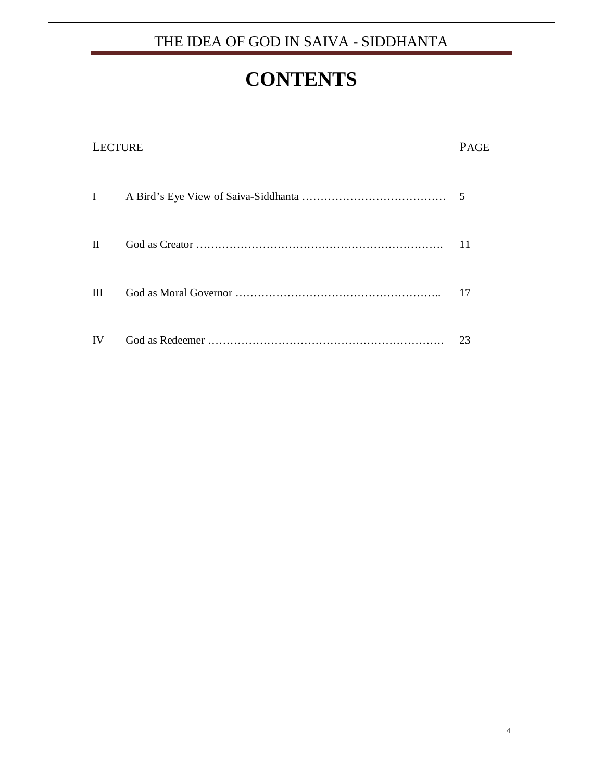## **CONTENTS**

| <b>LECTURE</b> |  |    |
|----------------|--|----|
| I              |  | 5  |
| H              |  | 11 |
| Ш              |  | 17 |
| IV             |  | 23 |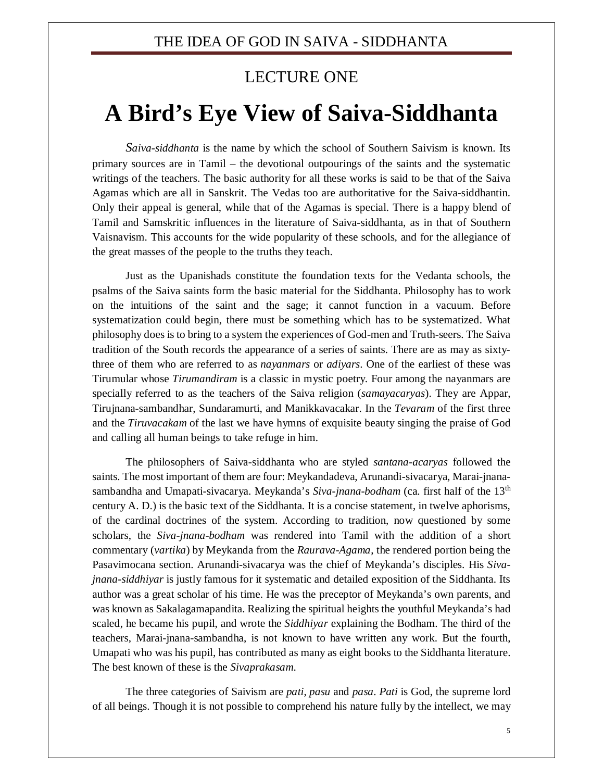#### LECTURE ONE

## **A Bird's Eye View of Saiva-Siddhanta**

*Saiva-siddhanta* is the name by which the school of Southern Saivism is known. Its primary sources are in Tamil – the devotional outpourings of the saints and the systematic writings of the teachers. The basic authority for all these works is said to be that of the Saiva Agamas which are all in Sanskrit. The Vedas too are authoritative for the Saiva-siddhantin. Only their appeal is general, while that of the Agamas is special. There is a happy blend of Tamil and Samskritic influences in the literature of Saiva-siddhanta, as in that of Southern Vaisnavism. This accounts for the wide popularity of these schools, and for the allegiance of the great masses of the people to the truths they teach.

Just as the Upanishads constitute the foundation texts for the Vedanta schools, the psalms of the Saiva saints form the basic material for the Siddhanta. Philosophy has to work on the intuitions of the saint and the sage; it cannot function in a vacuum. Before systematization could begin, there must be something which has to be systematized. What philosophy does is to bring to a system the experiences of God-men and Truth-seers. The Saiva tradition of the South records the appearance of a series of saints. There are as may as sixtythree of them who are referred to as *nayanmars* or *adiyars*. One of the earliest of these was Tirumular whose *Tirumandiram* is a classic in mystic poetry. Four among the nayanmars are specially referred to as the teachers of the Saiva religion (*samayacaryas*). They are Appar, Tirujnana-sambandhar, Sundaramurti, and Manikkavacakar. In the *Tevaram* of the first three and the *Tiruvacakam* of the last we have hymns of exquisite beauty singing the praise of God and calling all human beings to take refuge in him.

The philosophers of Saiva-siddhanta who are styled *santana-acaryas* followed the saints. The most important of them are four: Meykandadeva, Arunandi-sivacarya, Marai-jnanasambandha and Umapati-sivacarya. Meykanda's *Siva-jnana-bodham* (ca. first half of the 13th century A. D.) is the basic text of the Siddhanta. It is a concise statement, in twelve aphorisms, of the cardinal doctrines of the system. According to tradition, now questioned by some scholars, the *Siva-jnana-bodham* was rendered into Tamil with the addition of a short commentary (*vartika*) by Meykanda from the *Raurava-Agama*, the rendered portion being the Pasavimocana section. Arunandi-sivacarya was the chief of Meykanda's disciples. His *Sivajnana-siddhiyar* is justly famous for it systematic and detailed exposition of the Siddhanta. Its author was a great scholar of his time. He was the preceptor of Meykanda's own parents, and was known as Sakalagamapandita. Realizing the spiritual heights the youthful Meykanda's had scaled, he became his pupil, and wrote the *Siddhiyar* explaining the Bodham. The third of the teachers, Marai-jnana-sambandha, is not known to have written any work. But the fourth, Umapati who was his pupil, has contributed as many as eight books to the Siddhanta literature. The best known of these is the *Sivaprakasam*.

The three categories of Saivism are *pati*, *pasu* and *pasa*. *Pati* is God, the supreme lord of all beings. Though it is not possible to comprehend his nature fully by the intellect, we may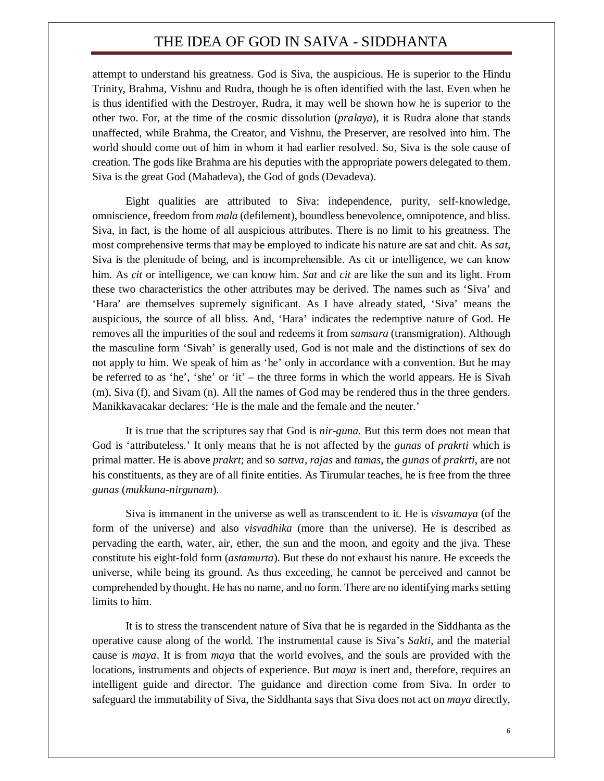attempt to understand his greatness. God is Siva, the auspicious. He is superior to the Hindu Trinity, Brahma, Vishnu and Rudra, though he is often identified with the last. Even when he is thus identified with the Destroyer, Rudra, it may well be shown how he is superior to the other two. For, at the time of the cosmic dissolution (*pralaya*), it is Rudra alone that stands unaffected, while Brahma, the Creator, and Vishnu, the Preserver, are resolved into him. The world should come out of him in whom it had earlier resolved. So, Siva is the sole cause of creation. The gods like Brahma are his deputies with the appropriate powers delegated to them. Siva is the great God (Mahadeva), the God of gods (Devadeva).

Eight qualities are attributed to Siva: independence, purity, self-knowledge, omniscience, freedom from *mala* (defilement), boundless benevolence, omnipotence, and bliss. Siva, in fact, is the home of all auspicious attributes. There is no limit to his greatness. The most comprehensive terms that may be employed to indicate his nature are sat and chit. As *sat*, Siva is the plenitude of being, and is incomprehensible. As cit or intelligence, we can know him. As *cit* or intelligence, we can know him. *Sat* and *cit* are like the sun and its light. From these two characteristics the other attributes may be derived. The names such as 'Siva' and 'Hara' are themselves supremely significant. As I have already stated, 'Siva' means the auspicious, the source of all bliss. And, 'Hara' indicates the redemptive nature of God. He removes all the impurities of the soul and redeems it from *samsara* (transmigration). Although the masculine form 'Sivah' is generally used, God is not male and the distinctions of sex do not apply to him. We speak of him as 'he' only in accordance with a convention. But he may be referred to as 'he', 'she' or 'it' – the three forms in which the world appears. He is Sivah (m), Siva (f), and Sivam (n). All the names of God may be rendered thus in the three genders. Manikkavacakar declares: 'He is the male and the female and the neuter.'

It is true that the scriptures say that God is *nir-guna*. But this term does not mean that God is 'attributeless.' It only means that he is not affected by the *gunas* of *prakrti* which is primal matter. He is above *prakrt*; and so *sattva*, *rajas* and *tamas*, the *gunas* of *prakrti*, are not his constituents, as they are of all finite entities. As Tirumular teaches, he is free from the three *gunas* (*mukkuna-nirgunam*).

Siva is immanent in the universe as well as transcendent to it. He is *visvamaya* (of the form of the universe) and also *visvadhika* (more than the universe). He is described as pervading the earth, water, air, ether, the sun and the moon, and egoity and the jiva. These constitute his eight-fold form (*astamurta*). But these do not exhaust his nature. He exceeds the universe, while being its ground. As thus exceeding, he cannot be perceived and cannot be comprehended by thought. He has no name, and no form. There are no identifying marks setting limits to him.

It is to stress the transcendent nature of Siva that he is regarded in the Siddhanta as the operative cause along of the world. The instrumental cause is Siva's *Sakti*, and the material cause is *maya*. It is from *maya* that the world evolves, and the souls are provided with the locations, instruments and objects of experience. But *maya* is inert and, therefore, requires an intelligent guide and director. The guidance and direction come from Siva. In order to safeguard the immutability of Siva, the Siddhanta says that Siva does not act on *maya* directly,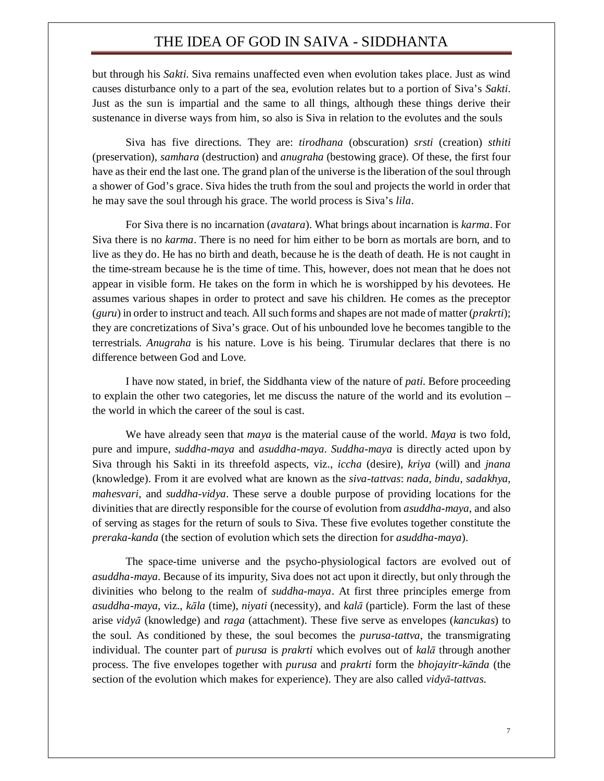but through his *Sakti*. Siva remains unaffected even when evolution takes place. Just as wind causes disturbance only to a part of the sea, evolution relates but to a portion of Siva's *Sakti*. Just as the sun is impartial and the same to all things, although these things derive their sustenance in diverse ways from him, so also is Siva in relation to the evolutes and the souls

Siva has five directions. They are: *tirodhana* (obscuration) *srsti* (creation) *sthiti* (preservation), *samhara* (destruction) and *anugraha* (bestowing grace). Of these, the first four have as their end the last one. The grand plan of the universe is the liberation of the soul through a shower of God's grace. Siva hides the truth from the soul and projects the world in order that he may save the soul through his grace. The world process is Siva's *lila*.

For Siva there is no incarnation (*avatara*). What brings about incarnation is *karma*. For Siva there is no *karma*. There is no need for him either to be born as mortals are born, and to live as they do. He has no birth and death, because he is the death of death. He is not caught in the time-stream because he is the time of time. This, however, does not mean that he does not appear in visible form. He takes on the form in which he is worshipped by his devotees. He assumes various shapes in order to protect and save his children. He comes as the preceptor (*guru*) in order to instruct and teach. All such forms and shapes are not made of matter (*prakrti*); they are concretizations of Siva's grace. Out of his unbounded love he becomes tangible to the terrestrials. *Anugraha* is his nature. Love is his being. Tirumular declares that there is no difference between God and Love.

I have now stated, in brief, the Siddhanta view of the nature of *pati*. Before proceeding to explain the other two categories, let me discuss the nature of the world and its evolution – the world in which the career of the soul is cast.

We have already seen that *maya* is the material cause of the world. *Maya* is two fold, pure and impure, *suddha-maya* and *asuddha-maya*. *Suddha-maya* is directly acted upon by Siva through his Sakti in its threefold aspects, viz., *iccha* (desire), *kriya* (will) and *jnana* (knowledge). From it are evolved what are known as the *siva-tattvas*: *nada*, *bindu*, *sadakhya*, *mahesvari*, and *suddha-vidya*. These serve a double purpose of providing locations for the divinities that are directly responsible for the course of evolution from *asuddha-maya*, and also of serving as stages for the return of souls to Siva. These five evolutes together constitute the *preraka-kanda* (the section of evolution which sets the direction for *asuddha-maya*).

The space-time universe and the psycho-physiological factors are evolved out of *asuddha-maya*. Because of its impurity, Siva does not act upon it directly, but only through the divinities who belong to the realm of *suddha-maya*. At first three principles emerge from *asuddha-maya*, viz., *kāla* (time), *niyati* (necessity), and *kalā* (particle). Form the last of these arise *vidyā* (knowledge) and *raga* (attachment). These five serve as envelopes (*kancukas*) to the soul. As conditioned by these, the soul becomes the *purusa-tattva*, the transmigrating individual. The counter part of *purusa* is *prakrti* which evolves out of *kalā* through another process. The five envelopes together with *purusa* and *prakrti* form the *bhojayitr-kānda* (the section of the evolution which makes for experience). They are also called *vidyā-tattvas*.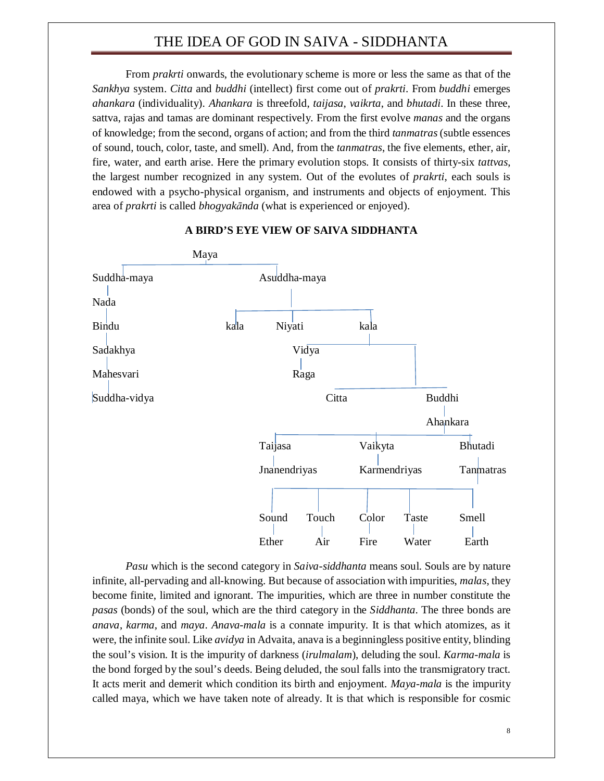From *prakrti* onwards, the evolutionary scheme is more or less the same as that of the *Sankhya* system. *Citta* and *buddhi* (intellect) first come out of *prakrti*. From *buddhi* emerges *ahankara* (individuality). *Ahankara* is threefold, *taijasa*, *vaikrta*, and *bhutadi*. In these three, sattva, rajas and tamas are dominant respectively. From the first evolve *manas* and the organs of knowledge; from the second, organs of action; and from the third *tanmatras* (subtle essences of sound, touch, color, taste, and smell). And, from the *tanmatras*, the five elements, ether, air, fire, water, and earth arise. Here the primary evolution stops. It consists of thirty-six *tattvas*, the largest number recognized in any system. Out of the evolutes of *prakrti*, each souls is endowed with a psycho-physical organism, and instruments and objects of enjoyment. This area of *prakrti* is called *bhogyakānda* (what is experienced or enjoyed).



#### **A BIRD'S EYE VIEW OF SAIVA SIDDHANTA**

*Pasu* which is the second category in *Saiva-siddhanta* means soul. Souls are by nature infinite, all-pervading and all-knowing. But because of association with impurities, *malas*, they become finite, limited and ignorant. The impurities, which are three in number constitute the *pasas* (bonds) of the soul, which are the third category in the *Siddhanta*. The three bonds are *anava*, *karma*, and *maya*. *Anava-mala* is a connate impurity. It is that which atomizes, as it were, the infinite soul. Like *avidya* in Advaita, anava is a beginningless positive entity, blinding the soul's vision. It is the impurity of darkness (*irulmalam*), deluding the soul. *Karma-mala* is the bond forged by the soul's deeds. Being deluded, the soul falls into the transmigratory tract. It acts merit and demerit which condition its birth and enjoyment. *Maya-mala* is the impurity called maya, which we have taken note of already. It is that which is responsible for cosmic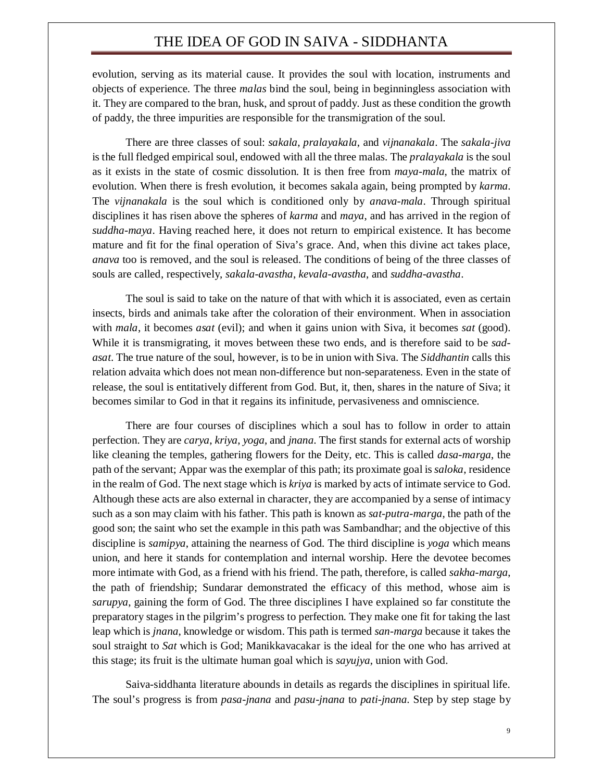evolution, serving as its material cause. It provides the soul with location, instruments and objects of experience. The three *malas* bind the soul, being in beginningless association with it. They are compared to the bran, husk, and sprout of paddy. Just as these condition the growth of paddy, the three impurities are responsible for the transmigration of the soul.

There are three classes of soul: *sakala*, *pralayakala*, and *vijnanakala*. The *sakala-jiva* is the full fledged empirical soul, endowed with all the three malas. The *pralayakala* is the soul as it exists in the state of cosmic dissolution. It is then free from *maya-mala*, the matrix of evolution. When there is fresh evolution, it becomes sakala again, being prompted by *karma*. The *vijnanakala* is the soul which is conditioned only by *anava-mala*. Through spiritual disciplines it has risen above the spheres of *karma* and *maya*, and has arrived in the region of *suddha-maya*. Having reached here, it does not return to empirical existence. It has become mature and fit for the final operation of Siva's grace. And, when this divine act takes place, *anava* too is removed, and the soul is released. The conditions of being of the three classes of souls are called, respectively, *sakala-avastha*, *kevala-avastha*, and *suddha-avastha*.

The soul is said to take on the nature of that with which it is associated, even as certain insects, birds and animals take after the coloration of their environment. When in association with *mala*, it becomes *asat* (evil); and when it gains union with Siva, it becomes *sat* (good). While it is transmigrating, it moves between these two ends, and is therefore said to be *sadasat*. The true nature of the soul, however, is to be in union with Siva. The *Siddhantin* calls this relation advaita which does not mean non-difference but non-separateness. Even in the state of release, the soul is entitatively different from God. But, it, then, shares in the nature of Siva; it becomes similar to God in that it regains its infinitude, pervasiveness and omniscience.

There are four courses of disciplines which a soul has to follow in order to attain perfection. They are *carya*, *kriya*, *yoga*, and *jnana*. The first stands for external acts of worship like cleaning the temples, gathering flowers for the Deity, etc. This is called *dasa-marga*, the path of the servant; Appar was the exemplar of this path; its proximate goal is *saloka*, residence in the realm of God. The next stage which is *kriya* is marked by acts of intimate service to God. Although these acts are also external in character, they are accompanied by a sense of intimacy such as a son may claim with his father. This path is known as *sat-putra-marga*, the path of the good son; the saint who set the example in this path was Sambandhar; and the objective of this discipline is *samipya*, attaining the nearness of God. The third discipline is *yoga* which means union, and here it stands for contemplation and internal worship. Here the devotee becomes more intimate with God, as a friend with his friend. The path, therefore, is called *sakha-marga*, the path of friendship; Sundarar demonstrated the efficacy of this method, whose aim is *sarupya*, gaining the form of God. The three disciplines I have explained so far constitute the preparatory stages in the pilgrim's progress to perfection. They make one fit for taking the last leap which is *jnana*, knowledge or wisdom. This path is termed *san-marga* because it takes the soul straight to *Sat* which is God; Manikkavacakar is the ideal for the one who has arrived at this stage; its fruit is the ultimate human goal which is *sayujya*, union with God.

Saiva-siddhanta literature abounds in details as regards the disciplines in spiritual life. The soul's progress is from *pasa-jnana* and *pasu-jnana* to *pati-jnana*. Step by step stage by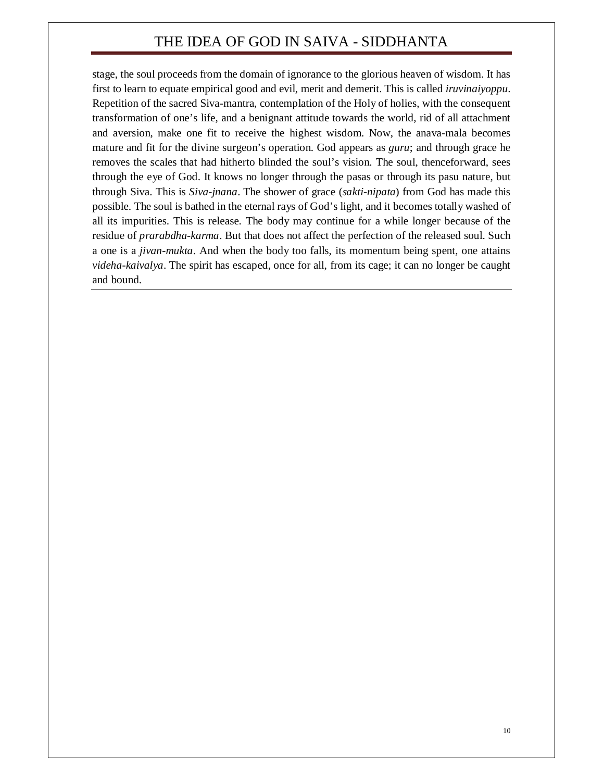stage, the soul proceeds from the domain of ignorance to the glorious heaven of wisdom. It has first to learn to equate empirical good and evil, merit and demerit. This is called *iruvinaiyoppu*. Repetition of the sacred Siva-mantra, contemplation of the Holy of holies, with the consequent transformation of one's life, and a benignant attitude towards the world, rid of all attachment and aversion, make one fit to receive the highest wisdom. Now, the anava-mala becomes mature and fit for the divine surgeon's operation. God appears as *guru*; and through grace he removes the scales that had hitherto blinded the soul's vision. The soul, thenceforward, sees through the eye of God. It knows no longer through the pasas or through its pasu nature, but through Siva. This is *Siva-jnana*. The shower of grace (*sakti-nipata*) from God has made this possible. The soul is bathed in the eternal rays of God's light, and it becomes totally washed of all its impurities. This is release. The body may continue for a while longer because of the residue of *prarabdha-karma*. But that does not affect the perfection of the released soul. Such a one is a *jivan-mukta*. And when the body too falls, its momentum being spent, one attains *videha-kaivalya*. The spirit has escaped, once for all, from its cage; it can no longer be caught and bound.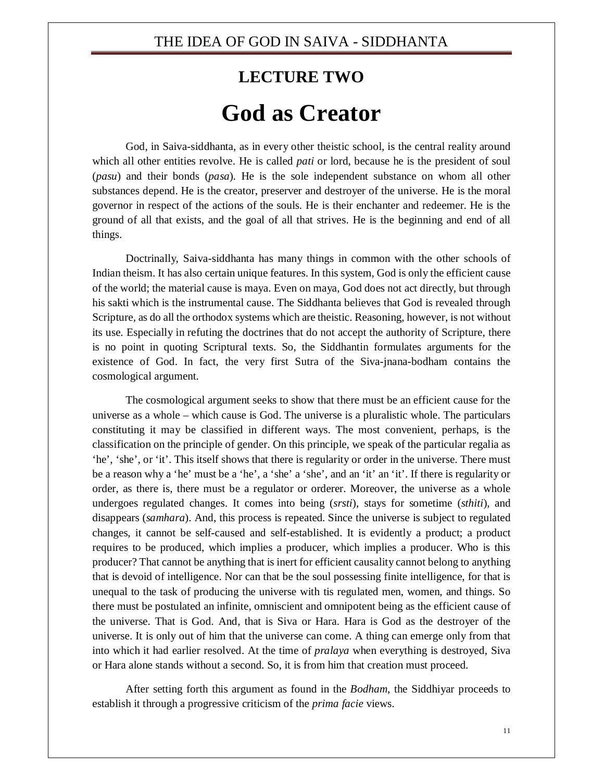## **LECTURE TWO God as Creator**

God, in Saiva-siddhanta, as in every other theistic school, is the central reality around which all other entities revolve. He is called *pati* or lord, because he is the president of soul (*pasu*) and their bonds (*pasa*). He is the sole independent substance on whom all other substances depend. He is the creator, preserver and destroyer of the universe. He is the moral governor in respect of the actions of the souls. He is their enchanter and redeemer. He is the ground of all that exists, and the goal of all that strives. He is the beginning and end of all things.

Doctrinally, Saiva-siddhanta has many things in common with the other schools of Indian theism. It has also certain unique features. In this system, God is only the efficient cause of the world; the material cause is maya. Even on maya, God does not act directly, but through his sakti which is the instrumental cause. The Siddhanta believes that God is revealed through Scripture, as do all the orthodox systems which are theistic. Reasoning, however, is not without its use. Especially in refuting the doctrines that do not accept the authority of Scripture, there is no point in quoting Scriptural texts. So, the Siddhantin formulates arguments for the existence of God. In fact, the very first Sutra of the Siva-jnana-bodham contains the cosmological argument.

The cosmological argument seeks to show that there must be an efficient cause for the universe as a whole – which cause is God. The universe is a pluralistic whole. The particulars constituting it may be classified in different ways. The most convenient, perhaps, is the classification on the principle of gender. On this principle, we speak of the particular regalia as 'he', 'she', or 'it'. This itself shows that there is regularity or order in the universe. There must be a reason why a 'he' must be a 'he', a 'she' a 'she', and an 'it' an 'it'. If there is regularity or order, as there is, there must be a regulator or orderer. Moreover, the universe as a whole undergoes regulated changes. It comes into being (*srsti*), stays for sometime (*sthiti*), and disappears (*samhara*). And, this process is repeated. Since the universe is subject to regulated changes, it cannot be self-caused and self-established. It is evidently a product; a product requires to be produced, which implies a producer, which implies a producer. Who is this producer? That cannot be anything that is inert for efficient causality cannot belong to anything that is devoid of intelligence. Nor can that be the soul possessing finite intelligence, for that is unequal to the task of producing the universe with tis regulated men, women, and things. So there must be postulated an infinite, omniscient and omnipotent being as the efficient cause of the universe. That is God. And, that is Siva or Hara. Hara is God as the destroyer of the universe. It is only out of him that the universe can come. A thing can emerge only from that into which it had earlier resolved. At the time of *pralaya* when everything is destroyed, Siva or Hara alone stands without a second. So, it is from him that creation must proceed.

After setting forth this argument as found in the *Bodham*, the Siddhiyar proceeds to establish it through a progressive criticism of the *prima facie* views.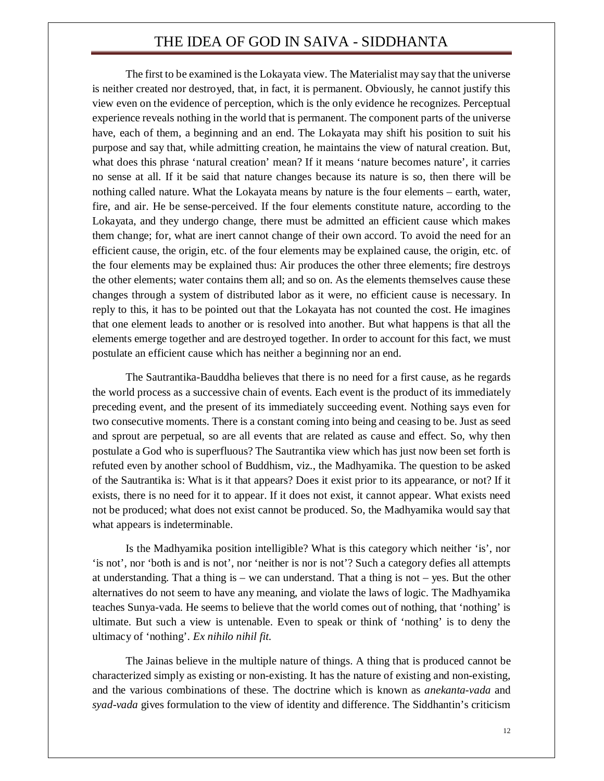The first to be examined is the Lokayata view. The Materialist may say that the universe is neither created nor destroyed, that, in fact, it is permanent. Obviously, he cannot justify this view even on the evidence of perception, which is the only evidence he recognizes. Perceptual experience reveals nothing in the world that is permanent. The component parts of the universe have, each of them, a beginning and an end. The Lokayata may shift his position to suit his purpose and say that, while admitting creation, he maintains the view of natural creation. But, what does this phrase 'natural creation' mean? If it means 'nature becomes nature', it carries no sense at all. If it be said that nature changes because its nature is so, then there will be nothing called nature. What the Lokayata means by nature is the four elements – earth, water, fire, and air. He be sense-perceived. If the four elements constitute nature, according to the Lokayata, and they undergo change, there must be admitted an efficient cause which makes them change; for, what are inert cannot change of their own accord. To avoid the need for an efficient cause, the origin, etc. of the four elements may be explained cause, the origin, etc. of the four elements may be explained thus: Air produces the other three elements; fire destroys the other elements; water contains them all; and so on. As the elements themselves cause these changes through a system of distributed labor as it were, no efficient cause is necessary. In reply to this, it has to be pointed out that the Lokayata has not counted the cost. He imagines that one element leads to another or is resolved into another. But what happens is that all the elements emerge together and are destroyed together. In order to account for this fact, we must postulate an efficient cause which has neither a beginning nor an end.

The Sautrantika-Bauddha believes that there is no need for a first cause, as he regards the world process as a successive chain of events. Each event is the product of its immediately preceding event, and the present of its immediately succeeding event. Nothing says even for two consecutive moments. There is a constant coming into being and ceasing to be. Just as seed and sprout are perpetual, so are all events that are related as cause and effect. So, why then postulate a God who is superfluous? The Sautrantika view which has just now been set forth is refuted even by another school of Buddhism, viz., the Madhyamika. The question to be asked of the Sautrantika is: What is it that appears? Does it exist prior to its appearance, or not? If it exists, there is no need for it to appear. If it does not exist, it cannot appear. What exists need not be produced; what does not exist cannot be produced. So, the Madhyamika would say that what appears is indeterminable.

Is the Madhyamika position intelligible? What is this category which neither 'is', nor 'is not', nor 'both is and is not', nor 'neither is nor is not'? Such a category defies all attempts at understanding. That a thing is – we can understand. That a thing is not – yes. But the other alternatives do not seem to have any meaning, and violate the laws of logic. The Madhyamika teaches Sunya-vada. He seems to believe that the world comes out of nothing, that 'nothing' is ultimate. But such a view is untenable. Even to speak or think of 'nothing' is to deny the ultimacy of 'nothing'. *Ex nihilo nihil fit*.

The Jainas believe in the multiple nature of things. A thing that is produced cannot be characterized simply as existing or non-existing. It has the nature of existing and non-existing, and the various combinations of these. The doctrine which is known as *anekanta-vada* and *syad-vada* gives formulation to the view of identity and difference. The Siddhantin's criticism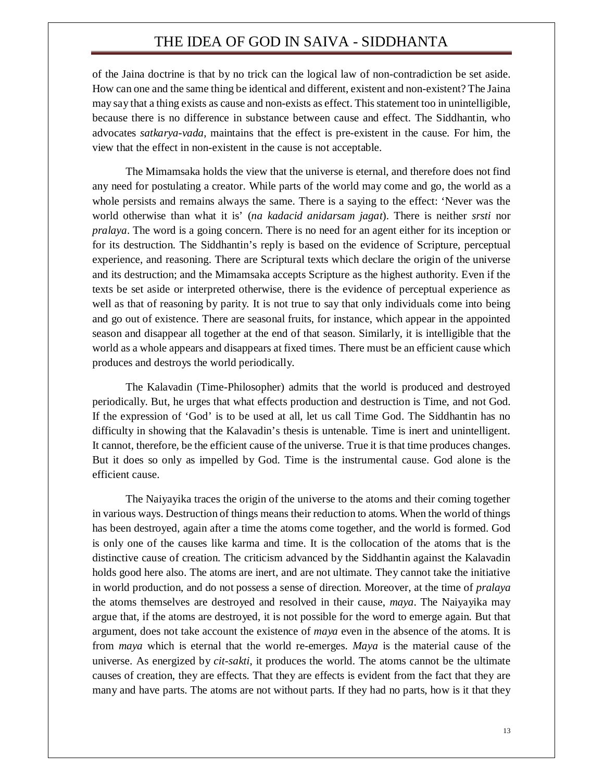of the Jaina doctrine is that by no trick can the logical law of non-contradiction be set aside. How can one and the same thing be identical and different, existent and non-existent? The Jaina may say that a thing exists as cause and non-exists as effect. This statement too in unintelligible, because there is no difference in substance between cause and effect. The Siddhantin, who advocates *satkarya-vada*, maintains that the effect is pre-existent in the cause. For him, the view that the effect in non-existent in the cause is not acceptable.

The Mimamsaka holds the view that the universe is eternal, and therefore does not find any need for postulating a creator. While parts of the world may come and go, the world as a whole persists and remains always the same. There is a saying to the effect: 'Never was the world otherwise than what it is' (*na kadacid anidarsam jagat*). There is neither *srsti* nor *pralaya*. The word is a going concern. There is no need for an agent either for its inception or for its destruction. The Siddhantin's reply is based on the evidence of Scripture, perceptual experience, and reasoning. There are Scriptural texts which declare the origin of the universe and its destruction; and the Mimamsaka accepts Scripture as the highest authority. Even if the texts be set aside or interpreted otherwise, there is the evidence of perceptual experience as well as that of reasoning by parity. It is not true to say that only individuals come into being and go out of existence. There are seasonal fruits, for instance, which appear in the appointed season and disappear all together at the end of that season. Similarly, it is intelligible that the world as a whole appears and disappears at fixed times. There must be an efficient cause which produces and destroys the world periodically.

The Kalavadin (Time-Philosopher) admits that the world is produced and destroyed periodically. But, he urges that what effects production and destruction is Time, and not God. If the expression of 'God' is to be used at all, let us call Time God. The Siddhantin has no difficulty in showing that the Kalavadin's thesis is untenable. Time is inert and unintelligent. It cannot, therefore, be the efficient cause of the universe. True it is that time produces changes. But it does so only as impelled by God. Time is the instrumental cause. God alone is the efficient cause.

The Naiyayika traces the origin of the universe to the atoms and their coming together in various ways. Destruction of things means their reduction to atoms. When the world of things has been destroyed, again after a time the atoms come together, and the world is formed. God is only one of the causes like karma and time. It is the collocation of the atoms that is the distinctive cause of creation. The criticism advanced by the Siddhantin against the Kalavadin holds good here also. The atoms are inert, and are not ultimate. They cannot take the initiative in world production, and do not possess a sense of direction. Moreover, at the time of *pralaya* the atoms themselves are destroyed and resolved in their cause, *maya*. The Naiyayika may argue that, if the atoms are destroyed, it is not possible for the word to emerge again. But that argument, does not take account the existence of *maya* even in the absence of the atoms. It is from *maya* which is eternal that the world re-emerges. *Maya* is the material cause of the universe. As energized by *cit-sakti*, it produces the world. The atoms cannot be the ultimate causes of creation, they are effects. That they are effects is evident from the fact that they are many and have parts. The atoms are not without parts. If they had no parts, how is it that they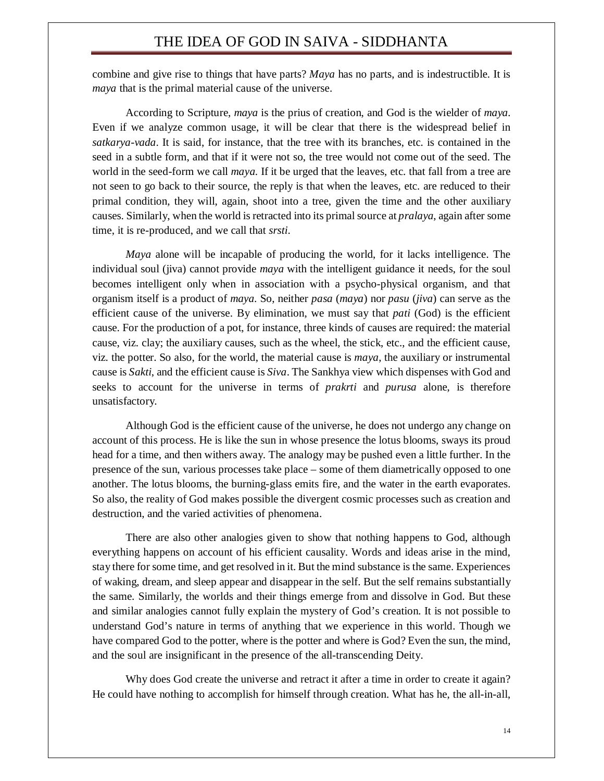combine and give rise to things that have parts? *Maya* has no parts, and is indestructible. It is *maya* that is the primal material cause of the universe.

According to Scripture, *maya* is the prius of creation, and God is the wielder of *maya*. Even if we analyze common usage, it will be clear that there is the widespread belief in *satkarya-vada*. It is said, for instance, that the tree with its branches, etc. is contained in the seed in a subtle form, and that if it were not so, the tree would not come out of the seed. The world in the seed-form we call *maya*. If it be urged that the leaves, etc. that fall from a tree are not seen to go back to their source, the reply is that when the leaves, etc. are reduced to their primal condition, they will, again, shoot into a tree, given the time and the other auxiliary causes. Similarly, when the world is retracted into its primal source at *pralaya*, again after some time, it is re-produced, and we call that *srsti*.

*Maya* alone will be incapable of producing the world, for it lacks intelligence. The individual soul (jiva) cannot provide *maya* with the intelligent guidance it needs, for the soul becomes intelligent only when in association with a psycho-physical organism, and that organism itself is a product of *maya*. So, neither *pasa* (*maya*) nor *pasu* (*jiva*) can serve as the efficient cause of the universe. By elimination, we must say that *pati* (God) is the efficient cause. For the production of a pot, for instance, three kinds of causes are required: the material cause, viz. clay; the auxiliary causes, such as the wheel, the stick, etc., and the efficient cause, viz. the potter. So also, for the world, the material cause is *maya*, the auxiliary or instrumental cause is *Sakti*, and the efficient cause is *Siva*. The Sankhya view which dispenses with God and seeks to account for the universe in terms of *prakrti* and *purusa* alone, is therefore unsatisfactory.

Although God is the efficient cause of the universe, he does not undergo any change on account of this process. He is like the sun in whose presence the lotus blooms, sways its proud head for a time, and then withers away. The analogy may be pushed even a little further. In the presence of the sun, various processes take place – some of them diametrically opposed to one another. The lotus blooms, the burning-glass emits fire, and the water in the earth evaporates. So also, the reality of God makes possible the divergent cosmic processes such as creation and destruction, and the varied activities of phenomena.

There are also other analogies given to show that nothing happens to God, although everything happens on account of his efficient causality. Words and ideas arise in the mind, stay there for some time, and get resolved in it. But the mind substance is the same. Experiences of waking, dream, and sleep appear and disappear in the self. But the self remains substantially the same. Similarly, the worlds and their things emerge from and dissolve in God. But these and similar analogies cannot fully explain the mystery of God's creation. It is not possible to understand God's nature in terms of anything that we experience in this world. Though we have compared God to the potter, where is the potter and where is God? Even the sun, the mind, and the soul are insignificant in the presence of the all-transcending Deity.

Why does God create the universe and retract it after a time in order to create it again? He could have nothing to accomplish for himself through creation. What has he, the all-in-all,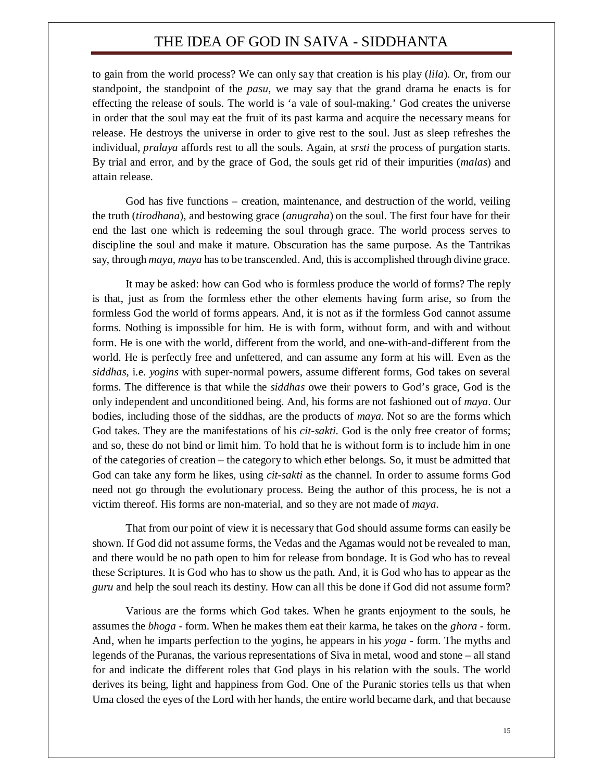to gain from the world process? We can only say that creation is his play (*lila*). Or, from our standpoint, the standpoint of the *pasu*, we may say that the grand drama he enacts is for effecting the release of souls. The world is 'a vale of soul-making.' God creates the universe in order that the soul may eat the fruit of its past karma and acquire the necessary means for release. He destroys the universe in order to give rest to the soul. Just as sleep refreshes the individual, *pralaya* affords rest to all the souls. Again, at *srsti* the process of purgation starts. By trial and error, and by the grace of God, the souls get rid of their impurities (*malas*) and attain release.

God has five functions – creation, maintenance, and destruction of the world, veiling the truth (*tirodhana*), and bestowing grace (*anugraha*) on the soul. The first four have for their end the last one which is redeeming the soul through grace. The world process serves to discipline the soul and make it mature. Obscuration has the same purpose. As the Tantrikas say, through *maya*, *maya* has to be transcended. And, this is accomplished through divine grace.

It may be asked: how can God who is formless produce the world of forms? The reply is that, just as from the formless ether the other elements having form arise, so from the formless God the world of forms appears. And, it is not as if the formless God cannot assume forms. Nothing is impossible for him. He is with form, without form, and with and without form. He is one with the world, different from the world, and one-with-and-different from the world. He is perfectly free and unfettered, and can assume any form at his will. Even as the *siddhas*, i.e. *yogins* with super-normal powers, assume different forms, God takes on several forms. The difference is that while the *siddhas* owe their powers to God's grace, God is the only independent and unconditioned being. And, his forms are not fashioned out of *maya*. Our bodies, including those of the siddhas, are the products of *maya*. Not so are the forms which God takes. They are the manifestations of his *cit-sakti*. God is the only free creator of forms; and so, these do not bind or limit him. To hold that he is without form is to include him in one of the categories of creation – the category to which ether belongs. So, it must be admitted that God can take any form he likes, using *cit-sakti* as the channel. In order to assume forms God need not go through the evolutionary process. Being the author of this process, he is not a victim thereof. His forms are non-material, and so they are not made of *maya*.

That from our point of view it is necessary that God should assume forms can easily be shown. If God did not assume forms, the Vedas and the Agamas would not be revealed to man, and there would be no path open to him for release from bondage. It is God who has to reveal these Scriptures. It is God who has to show us the path. And, it is God who has to appear as the *guru* and help the soul reach its destiny. How can all this be done if God did not assume form?

Various are the forms which God takes. When he grants enjoyment to the souls, he assumes the *bhoga* - form. When he makes them eat their karma, he takes on the *ghora* - form. And, when he imparts perfection to the yogins, he appears in his *yoga* - form. The myths and legends of the Puranas, the various representations of Siva in metal, wood and stone – all stand for and indicate the different roles that God plays in his relation with the souls. The world derives its being, light and happiness from God. One of the Puranic stories tells us that when Uma closed the eyes of the Lord with her hands, the entire world became dark, and that because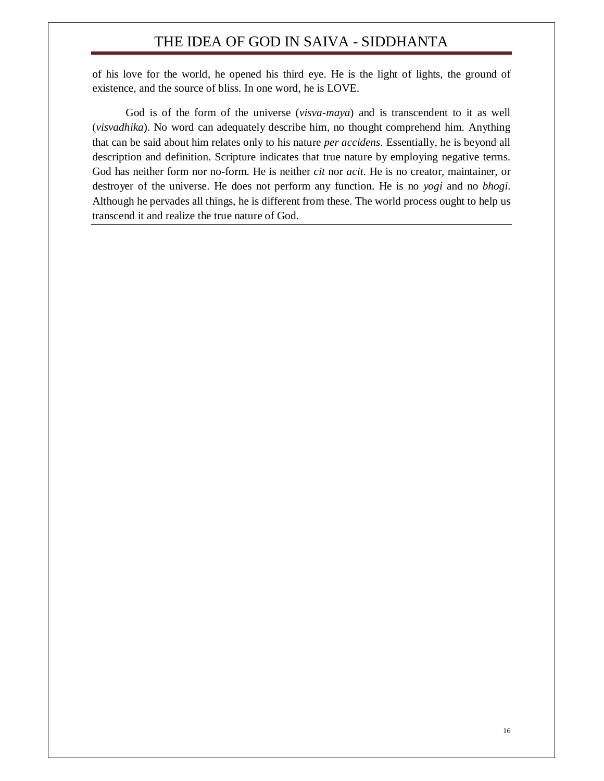of his love for the world, he opened his third eye. He is the light of lights, the ground of existence, and the source of bliss. In one word, he is LOVE.

God is of the form of the universe (*visva-maya*) and is transcendent to it as well (*visvadhika*). No word can adequately describe him, no thought comprehend him. Anything that can be said about him relates only to his nature *per accidens*. Essentially, he is beyond all description and definition. Scripture indicates that true nature by employing negative terms. God has neither form nor no-form. He is neither *cit* nor *acit*. He is no creator, maintainer, or destroyer of the universe. He does not perform any function. He is no *yogi* and no *bhogi*. Although he pervades all things, he is different from these. The world process ought to help us transcend it and realize the true nature of God.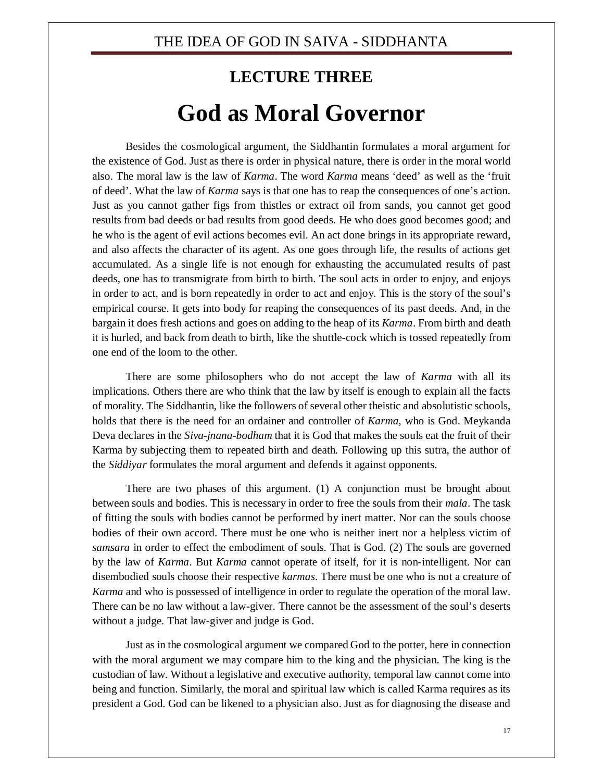## **LECTURE THREE God as Moral Governor**

Besides the cosmological argument, the Siddhantin formulates a moral argument for the existence of God. Just as there is order in physical nature, there is order in the moral world also. The moral law is the law of *Karma*. The word *Karma* means 'deed' as well as the 'fruit of deed'. What the law of *Karma* says is that one has to reap the consequences of one's action. Just as you cannot gather figs from thistles or extract oil from sands, you cannot get good results from bad deeds or bad results from good deeds. He who does good becomes good; and he who is the agent of evil actions becomes evil. An act done brings in its appropriate reward, and also affects the character of its agent. As one goes through life, the results of actions get accumulated. As a single life is not enough for exhausting the accumulated results of past deeds, one has to transmigrate from birth to birth. The soul acts in order to enjoy, and enjoys in order to act, and is born repeatedly in order to act and enjoy. This is the story of the soul's empirical course. It gets into body for reaping the consequences of its past deeds. And, in the bargain it does fresh actions and goes on adding to the heap of its *Karma*. From birth and death it is hurled, and back from death to birth, like the shuttle-cock which is tossed repeatedly from one end of the loom to the other.

There are some philosophers who do not accept the law of *Karma* with all its implications. Others there are who think that the law by itself is enough to explain all the facts of morality. The Siddhantin, like the followers of several other theistic and absolutistic schools, holds that there is the need for an ordainer and controller of *Karma*, who is God. Meykanda Deva declares in the *Siva-jnana-bodham* that it is God that makes the souls eat the fruit of their Karma by subjecting them to repeated birth and death. Following up this sutra, the author of the *Siddiyar* formulates the moral argument and defends it against opponents.

There are two phases of this argument. (1) A conjunction must be brought about between souls and bodies. This is necessary in order to free the souls from their *mala*. The task of fitting the souls with bodies cannot be performed by inert matter. Nor can the souls choose bodies of their own accord. There must be one who is neither inert nor a helpless victim of *samsara* in order to effect the embodiment of souls. That is God. (2) The souls are governed by the law of *Karma*. But *Karma* cannot operate of itself, for it is non-intelligent. Nor can disembodied souls choose their respective *karmas*. There must be one who is not a creature of *Karma* and who is possessed of intelligence in order to regulate the operation of the moral law. There can be no law without a law-giver. There cannot be the assessment of the soul's deserts without a judge. That law-giver and judge is God.

Just as in the cosmological argument we compared God to the potter, here in connection with the moral argument we may compare him to the king and the physician. The king is the custodian of law. Without a legislative and executive authority, temporal law cannot come into being and function. Similarly, the moral and spiritual law which is called Karma requires as its president a God. God can be likened to a physician also. Just as for diagnosing the disease and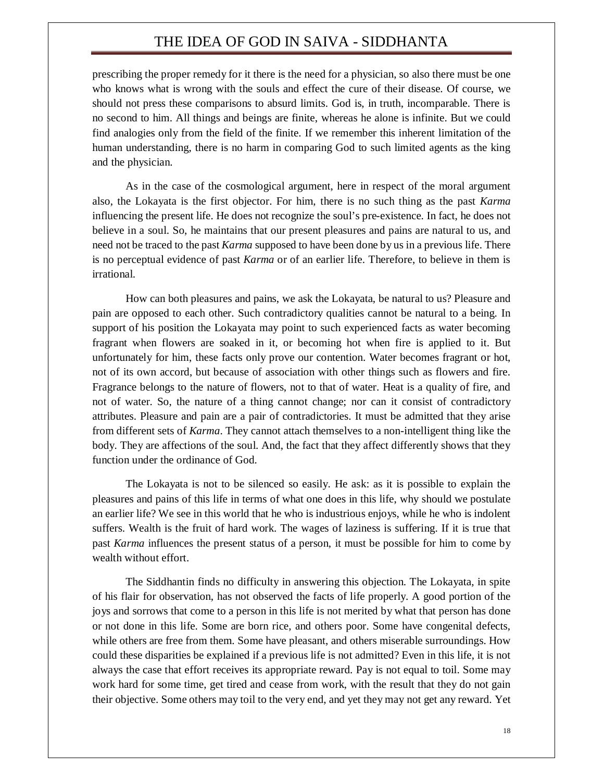prescribing the proper remedy for it there is the need for a physician, so also there must be one who knows what is wrong with the souls and effect the cure of their disease. Of course, we should not press these comparisons to absurd limits. God is, in truth, incomparable. There is no second to him. All things and beings are finite, whereas he alone is infinite. But we could find analogies only from the field of the finite. If we remember this inherent limitation of the human understanding, there is no harm in comparing God to such limited agents as the king and the physician.

As in the case of the cosmological argument, here in respect of the moral argument also, the Lokayata is the first objector. For him, there is no such thing as the past *Karma*  influencing the present life. He does not recognize the soul's pre-existence. In fact, he does not believe in a soul. So, he maintains that our present pleasures and pains are natural to us, and need not be traced to the past *Karma* supposed to have been done by us in a previous life. There is no perceptual evidence of past *Karma* or of an earlier life. Therefore, to believe in them is irrational.

How can both pleasures and pains, we ask the Lokayata, be natural to us? Pleasure and pain are opposed to each other. Such contradictory qualities cannot be natural to a being. In support of his position the Lokayata may point to such experienced facts as water becoming fragrant when flowers are soaked in it, or becoming hot when fire is applied to it. But unfortunately for him, these facts only prove our contention. Water becomes fragrant or hot, not of its own accord, but because of association with other things such as flowers and fire. Fragrance belongs to the nature of flowers, not to that of water. Heat is a quality of fire, and not of water. So, the nature of a thing cannot change; nor can it consist of contradictory attributes. Pleasure and pain are a pair of contradictories. It must be admitted that they arise from different sets of *Karma*. They cannot attach themselves to a non-intelligent thing like the body. They are affections of the soul. And, the fact that they affect differently shows that they function under the ordinance of God.

The Lokayata is not to be silenced so easily. He ask: as it is possible to explain the pleasures and pains of this life in terms of what one does in this life, why should we postulate an earlier life? We see in this world that he who is industrious enjoys, while he who is indolent suffers. Wealth is the fruit of hard work. The wages of laziness is suffering. If it is true that past *Karma* influences the present status of a person, it must be possible for him to come by wealth without effort.

The Siddhantin finds no difficulty in answering this objection. The Lokayata, in spite of his flair for observation, has not observed the facts of life properly. A good portion of the joys and sorrows that come to a person in this life is not merited by what that person has done or not done in this life. Some are born rice, and others poor. Some have congenital defects, while others are free from them. Some have pleasant, and others miserable surroundings. How could these disparities be explained if a previous life is not admitted? Even in this life, it is not always the case that effort receives its appropriate reward. Pay is not equal to toil. Some may work hard for some time, get tired and cease from work, with the result that they do not gain their objective. Some others may toil to the very end, and yet they may not get any reward. Yet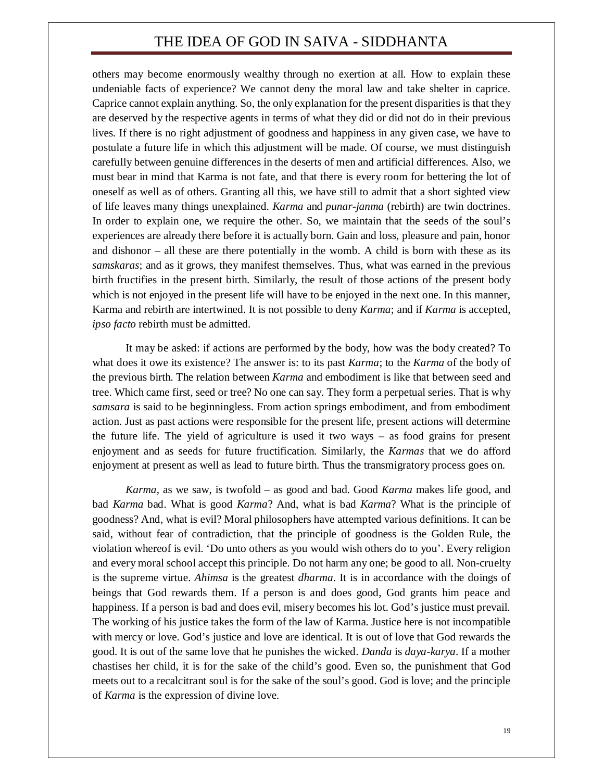others may become enormously wealthy through no exertion at all. How to explain these undeniable facts of experience? We cannot deny the moral law and take shelter in caprice. Caprice cannot explain anything. So, the only explanation for the present disparities is that they are deserved by the respective agents in terms of what they did or did not do in their previous lives. If there is no right adjustment of goodness and happiness in any given case, we have to postulate a future life in which this adjustment will be made. Of course, we must distinguish carefully between genuine differences in the deserts of men and artificial differences. Also, we must bear in mind that Karma is not fate, and that there is every room for bettering the lot of oneself as well as of others. Granting all this, we have still to admit that a short sighted view of life leaves many things unexplained. *Karma* and *punar-janma* (rebirth) are twin doctrines. In order to explain one, we require the other. So, we maintain that the seeds of the soul's experiences are already there before it is actually born. Gain and loss, pleasure and pain, honor and dishonor – all these are there potentially in the womb. A child is born with these as its *samskaras*; and as it grows, they manifest themselves. Thus, what was earned in the previous birth fructifies in the present birth. Similarly, the result of those actions of the present body which is not enjoyed in the present life will have to be enjoyed in the next one. In this manner, Karma and rebirth are intertwined. It is not possible to deny *Karma*; and if *Karma* is accepted, *ipso facto* rebirth must be admitted.

It may be asked: if actions are performed by the body, how was the body created? To what does it owe its existence? The answer is: to its past *Karma*; to the *Karma* of the body of the previous birth. The relation between *Karma* and embodiment is like that between seed and tree. Which came first, seed or tree? No one can say. They form a perpetual series. That is why *samsara* is said to be beginningless. From action springs embodiment, and from embodiment action. Just as past actions were responsible for the present life, present actions will determine the future life. The yield of agriculture is used it two ways – as food grains for present enjoyment and as seeds for future fructification. Similarly, the *Karmas* that we do afford enjoyment at present as well as lead to future birth. Thus the transmigratory process goes on.

*Karma*, as we saw, is twofold – as good and bad. Good *Karma* makes life good, and bad *Karma* bad. What is good *Karma*? And, what is bad *Karma*? What is the principle of goodness? And, what is evil? Moral philosophers have attempted various definitions. It can be said, without fear of contradiction, that the principle of goodness is the Golden Rule, the violation whereof is evil. 'Do unto others as you would wish others do to you'. Every religion and every moral school accept this principle. Do not harm any one; be good to all. Non-cruelty is the supreme virtue. *Ahimsa* is the greatest *dharma*. It is in accordance with the doings of beings that God rewards them. If a person is and does good, God grants him peace and happiness. If a person is bad and does evil, misery becomes his lot. God's justice must prevail. The working of his justice takes the form of the law of Karma. Justice here is not incompatible with mercy or love. God's justice and love are identical. It is out of love that God rewards the good. It is out of the same love that he punishes the wicked. *Danda* is *daya*-*karya*. If a mother chastises her child, it is for the sake of the child's good. Even so, the punishment that God meets out to a recalcitrant soul is for the sake of the soul's good. God is love; and the principle of *Karma* is the expression of divine love.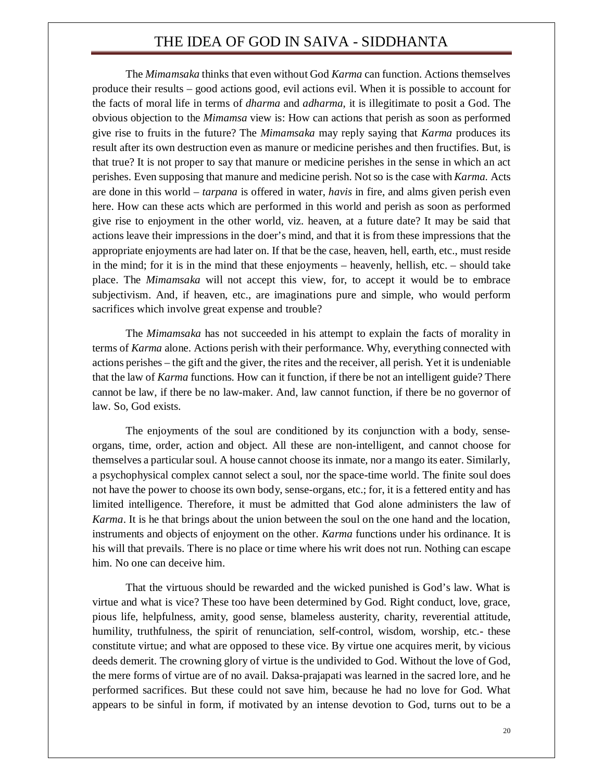The *Mimamsaka* thinks that even without God *Karma* can function. Actions themselves produce their results – good actions good, evil actions evil. When it is possible to account for the facts of moral life in terms of *dharma* and *adharma*, it is illegitimate to posit a God. The obvious objection to the *Mimamsa* view is: How can actions that perish as soon as performed give rise to fruits in the future? The *Mimamsaka* may reply saying that *Karma* produces its result after its own destruction even as manure or medicine perishes and then fructifies. But, is that true? It is not proper to say that manure or medicine perishes in the sense in which an act perishes. Even supposing that manure and medicine perish. Not so is the case with *Karma.* Acts are done in this world – *tarpana* is offered in water, *havis* in fire, and alms given perish even here. How can these acts which are performed in this world and perish as soon as performed give rise to enjoyment in the other world, viz. heaven, at a future date? It may be said that actions leave their impressions in the doer's mind, and that it is from these impressions that the appropriate enjoyments are had later on. If that be the case, heaven, hell, earth, etc., must reside in the mind; for it is in the mind that these enjoyments – heavenly, hellish, etc. – should take place. The *Mimamsaka* will not accept this view, for, to accept it would be to embrace subjectivism. And, if heaven, etc., are imaginations pure and simple, who would perform sacrifices which involve great expense and trouble?

The *Mimamsaka* has not succeeded in his attempt to explain the facts of morality in terms of *Karma* alone. Actions perish with their performance. Why, everything connected with actions perishes – the gift and the giver, the rites and the receiver, all perish. Yet it is undeniable that the law of *Karma* functions. How can it function, if there be not an intelligent guide? There cannot be law, if there be no law-maker. And, law cannot function, if there be no governor of law. So, God exists.

The enjoyments of the soul are conditioned by its conjunction with a body, senseorgans, time, order, action and object. All these are non-intelligent, and cannot choose for themselves a particular soul. A house cannot choose its inmate, nor a mango its eater. Similarly, a psychophysical complex cannot select a soul, nor the space-time world. The finite soul does not have the power to choose its own body, sense-organs, etc.; for, it is a fettered entity and has limited intelligence. Therefore, it must be admitted that God alone administers the law of *Karma*. It is he that brings about the union between the soul on the one hand and the location, instruments and objects of enjoyment on the other. *Karma* functions under his ordinance. It is his will that prevails. There is no place or time where his writ does not run. Nothing can escape him. No one can deceive him.

That the virtuous should be rewarded and the wicked punished is God's law. What is virtue and what is vice? These too have been determined by God. Right conduct, love, grace, pious life, helpfulness, amity, good sense, blameless austerity, charity, reverential attitude, humility, truthfulness, the spirit of renunciation, self-control, wisdom, worship, etc.- these constitute virtue; and what are opposed to these vice. By virtue one acquires merit, by vicious deeds demerit. The crowning glory of virtue is the undivided to God. Without the love of God, the mere forms of virtue are of no avail. Daksa-prajapati was learned in the sacred lore, and he performed sacrifices. But these could not save him, because he had no love for God. What appears to be sinful in form, if motivated by an intense devotion to God, turns out to be a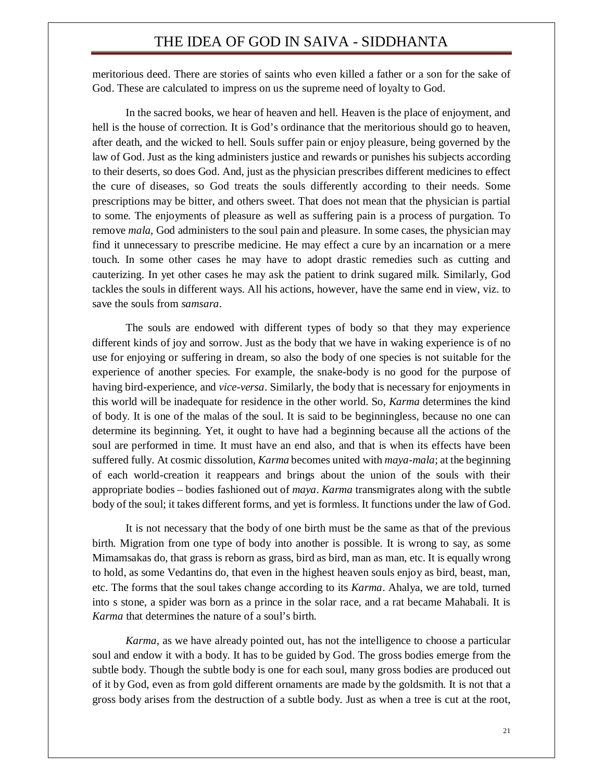meritorious deed. There are stories of saints who even killed a father or a son for the sake of God. These are calculated to impress on us the supreme need of loyalty to God.

In the sacred books, we hear of heaven and hell. Heaven is the place of enjoyment, and hell is the house of correction. It is God's ordinance that the meritorious should go to heaven, after death, and the wicked to hell. Souls suffer pain or enjoy pleasure, being governed by the law of God. Just as the king administers justice and rewards or punishes his subjects according to their deserts, so does God. And, just as the physician prescribes different medicines to effect the cure of diseases, so God treats the souls differently according to their needs. Some prescriptions may be bitter, and others sweet. That does not mean that the physician is partial to some. The enjoyments of pleasure as well as suffering pain is a process of purgation. To remove *mala*, God administers to the soul pain and pleasure. In some cases, the physician may find it unnecessary to prescribe medicine. He may effect a cure by an incarnation or a mere touch. In some other cases he may have to adopt drastic remedies such as cutting and cauterizing. In yet other cases he may ask the patient to drink sugared milk. Similarly, God tackles the souls in different ways. All his actions, however, have the same end in view, viz. to save the souls from *samsara*.

The souls are endowed with different types of body so that they may experience different kinds of joy and sorrow. Just as the body that we have in waking experience is of no use for enjoying or suffering in dream, so also the body of one species is not suitable for the experience of another species. For example, the snake-body is no good for the purpose of having bird-experience, and *vice-versa*. Similarly, the body that is necessary for enjoyments in this world will be inadequate for residence in the other world. So, *Karma* determines the kind of body. It is one of the malas of the soul. It is said to be beginningless, because no one can determine its beginning. Yet, it ought to have had a beginning because all the actions of the soul are performed in time. It must have an end also, and that is when its effects have been suffered fully. At cosmic dissolution, *Karma* becomes united with *maya-mala*; at the beginning of each world-creation it reappears and brings about the union of the souls with their appropriate bodies – bodies fashioned out of *maya*. *Karma* transmigrates along with the subtle body of the soul; it takes different forms, and yet is formless. It functions under the law of God.

It is not necessary that the body of one birth must be the same as that of the previous birth. Migration from one type of body into another is possible. It is wrong to say, as some Mimamsakas do, that grass is reborn as grass, bird as bird, man as man, etc. It is equally wrong to hold, as some Vedantins do, that even in the highest heaven souls enjoy as bird, beast, man, etc. The forms that the soul takes change according to its *Karma*. Ahalya, we are told, turned into s stone, a spider was born as a prince in the solar race, and a rat became Mahabali. It is *Karma* that determines the nature of a soul's birth.

*Karma*, as we have already pointed out, has not the intelligence to choose a particular soul and endow it with a body. It has to be guided by God. The gross bodies emerge from the subtle body. Though the subtle body is one for each soul, many gross bodies are produced out of it by God, even as from gold different ornaments are made by the goldsmith. It is not that a gross body arises from the destruction of a subtle body. Just as when a tree is cut at the root,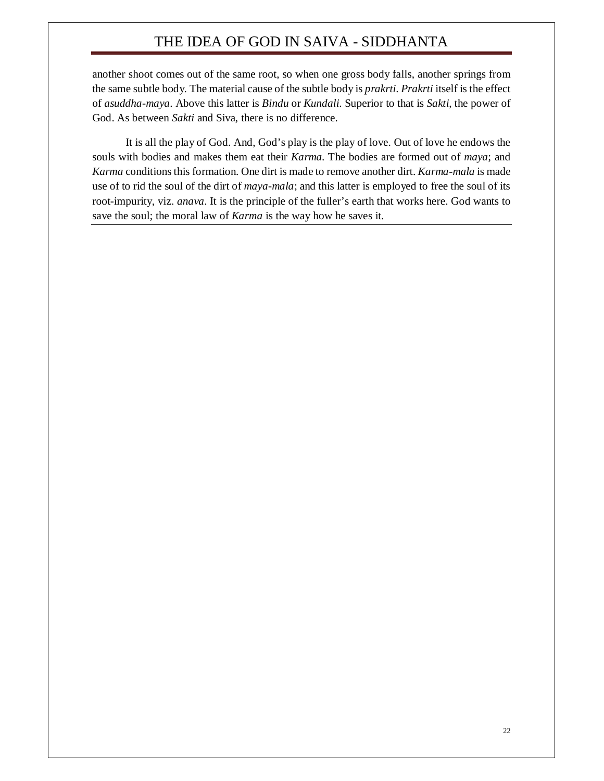another shoot comes out of the same root, so when one gross body falls, another springs from the same subtle body. The material cause of the subtle body is *prakrti*. *Prakrti* itself is the effect of *asuddha-maya*. Above this latter is *Bindu* or *Kundali*. Superior to that is *Sakti*, the power of God. As between *Sakti* and Siva, there is no difference.

It is all the play of God. And, God's play is the play of love. Out of love he endows the souls with bodies and makes them eat their *Karma*. The bodies are formed out of *maya*; and *Karma* conditions this formation. One dirt is made to remove another dirt. *Karma-mala* is made use of to rid the soul of the dirt of *maya-mala*; and this latter is employed to free the soul of its root-impurity, viz. *anava*. It is the principle of the fuller's earth that works here. God wants to save the soul; the moral law of *Karma* is the way how he saves it.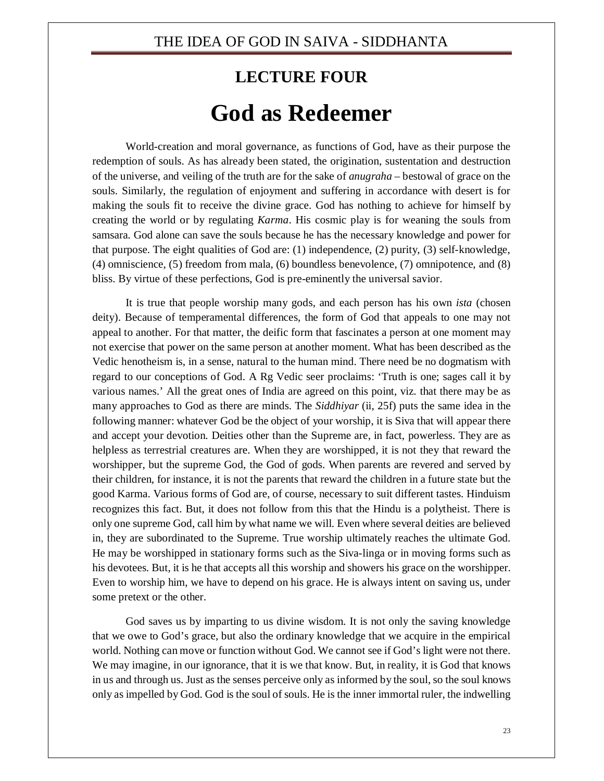## **LECTURE FOUR God as Redeemer**

World-creation and moral governance, as functions of God, have as their purpose the redemption of souls. As has already been stated, the origination, sustentation and destruction of the universe, and veiling of the truth are for the sake of *anugraha* – bestowal of grace on the souls. Similarly, the regulation of enjoyment and suffering in accordance with desert is for making the souls fit to receive the divine grace. God has nothing to achieve for himself by creating the world or by regulating *Karma*. His cosmic play is for weaning the souls from samsara. God alone can save the souls because he has the necessary knowledge and power for that purpose. The eight qualities of God are: (1) independence, (2) purity, (3) self-knowledge, (4) omniscience, (5) freedom from mala, (6) boundless benevolence, (7) omnipotence, and (8) bliss. By virtue of these perfections, God is pre-eminently the universal savior.

It is true that people worship many gods, and each person has his own *ista* (chosen deity). Because of temperamental differences, the form of God that appeals to one may not appeal to another. For that matter, the deific form that fascinates a person at one moment may not exercise that power on the same person at another moment. What has been described as the Vedic henotheism is, in a sense, natural to the human mind. There need be no dogmatism with regard to our conceptions of God. A Rg Vedic seer proclaims: 'Truth is one; sages call it by various names.' All the great ones of India are agreed on this point, viz. that there may be as many approaches to God as there are minds. The *Siddhiyar* (ii, 25f) puts the same idea in the following manner: whatever God be the object of your worship, it is Siva that will appear there and accept your devotion. Deities other than the Supreme are, in fact, powerless. They are as helpless as terrestrial creatures are. When they are worshipped, it is not they that reward the worshipper, but the supreme God, the God of gods. When parents are revered and served by their children, for instance, it is not the parents that reward the children in a future state but the good Karma. Various forms of God are, of course, necessary to suit different tastes. Hinduism recognizes this fact. But, it does not follow from this that the Hindu is a polytheist. There is only one supreme God, call him by what name we will. Even where several deities are believed in, they are subordinated to the Supreme. True worship ultimately reaches the ultimate God. He may be worshipped in stationary forms such as the Siva-linga or in moving forms such as his devotees. But, it is he that accepts all this worship and showers his grace on the worshipper. Even to worship him, we have to depend on his grace. He is always intent on saving us, under some pretext or the other.

God saves us by imparting to us divine wisdom. It is not only the saving knowledge that we owe to God's grace, but also the ordinary knowledge that we acquire in the empirical world. Nothing can move or function without God. We cannot see if God's light were not there. We may imagine, in our ignorance, that it is we that know. But, in reality, it is God that knows in us and through us. Just as the senses perceive only as informed by the soul, so the soul knows only as impelled by God. God is the soul of souls. He is the inner immortal ruler, the indwelling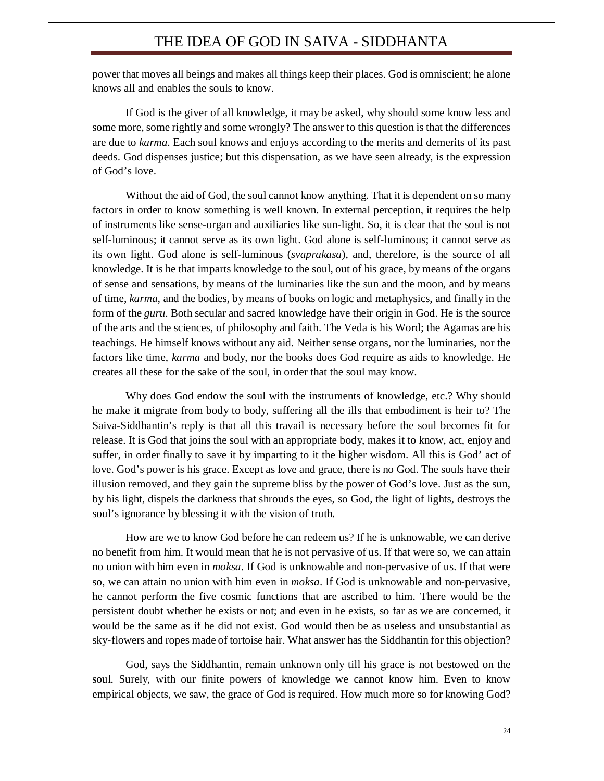power that moves all beings and makes all things keep their places. God is omniscient; he alone knows all and enables the souls to know.

If God is the giver of all knowledge, it may be asked, why should some know less and some more, some rightly and some wrongly? The answer to this question is that the differences are due to *karma.* Each soul knows and enjoys according to the merits and demerits of its past deeds. God dispenses justice; but this dispensation, as we have seen already, is the expression of God's love.

Without the aid of God, the soul cannot know anything. That it is dependent on so many factors in order to know something is well known. In external perception, it requires the help of instruments like sense-organ and auxiliaries like sun-light. So, it is clear that the soul is not self-luminous; it cannot serve as its own light. God alone is self-luminous; it cannot serve as its own light. God alone is self-luminous (*svaprakasa*), and, therefore, is the source of all knowledge. It is he that imparts knowledge to the soul, out of his grace, by means of the organs of sense and sensations, by means of the luminaries like the sun and the moon, and by means of time, *karma*, and the bodies, by means of books on logic and metaphysics, and finally in the form of the *guru*. Both secular and sacred knowledge have their origin in God. He is the source of the arts and the sciences, of philosophy and faith. The Veda is his Word; the Agamas are his teachings. He himself knows without any aid. Neither sense organs, nor the luminaries, nor the factors like time, *karma* and body, nor the books does God require as aids to knowledge. He creates all these for the sake of the soul, in order that the soul may know.

Why does God endow the soul with the instruments of knowledge, etc.? Why should he make it migrate from body to body, suffering all the ills that embodiment is heir to? The Saiva-Siddhantin's reply is that all this travail is necessary before the soul becomes fit for release. It is God that joins the soul with an appropriate body, makes it to know, act, enjoy and suffer, in order finally to save it by imparting to it the higher wisdom. All this is God' act of love. God's power is his grace. Except as love and grace, there is no God. The souls have their illusion removed, and they gain the supreme bliss by the power of God's love. Just as the sun, by his light, dispels the darkness that shrouds the eyes, so God, the light of lights, destroys the soul's ignorance by blessing it with the vision of truth.

How are we to know God before he can redeem us? If he is unknowable, we can derive no benefit from him. It would mean that he is not pervasive of us. If that were so, we can attain no union with him even in *moksa*. If God is unknowable and non-pervasive of us. If that were so, we can attain no union with him even in *moksa*. If God is unknowable and non-pervasive, he cannot perform the five cosmic functions that are ascribed to him. There would be the persistent doubt whether he exists or not; and even in he exists, so far as we are concerned, it would be the same as if he did not exist. God would then be as useless and unsubstantial as sky-flowers and ropes made of tortoise hair. What answer has the Siddhantin for this objection?

God, says the Siddhantin, remain unknown only till his grace is not bestowed on the soul. Surely, with our finite powers of knowledge we cannot know him. Even to know empirical objects, we saw, the grace of God is required. How much more so for knowing God?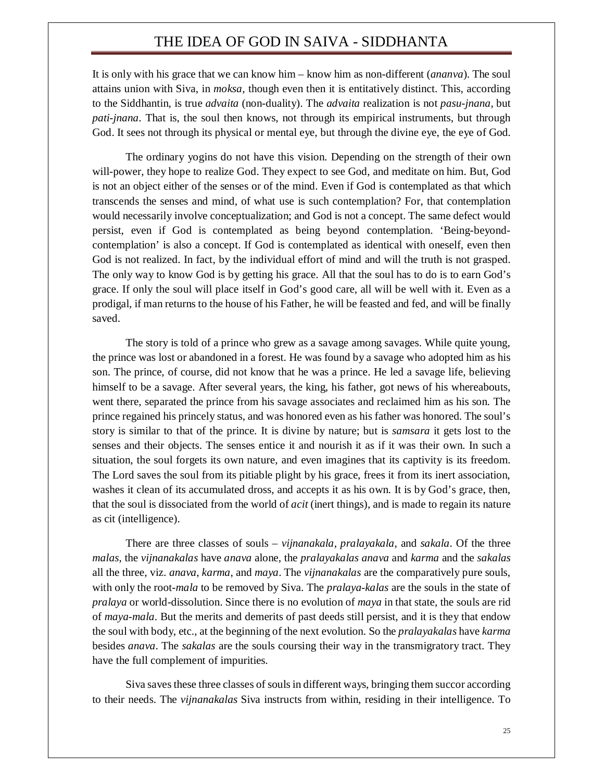It is only with his grace that we can know him – know him as non-different (*ananva*). The soul attains union with Siva, in *moksa*, though even then it is entitatively distinct. This, according to the Siddhantin, is true *advaita* (non-duality). The *advaita* realization is not *pasu-jnana*, but *pati-jnana*. That is, the soul then knows, not through its empirical instruments, but through God. It sees not through its physical or mental eye, but through the divine eye, the eye of God.

The ordinary yogins do not have this vision. Depending on the strength of their own will-power, they hope to realize God. They expect to see God, and meditate on him. But, God is not an object either of the senses or of the mind. Even if God is contemplated as that which transcends the senses and mind, of what use is such contemplation? For, that contemplation would necessarily involve conceptualization; and God is not a concept. The same defect would persist, even if God is contemplated as being beyond contemplation. 'Being-beyondcontemplation' is also a concept. If God is contemplated as identical with oneself, even then God is not realized. In fact, by the individual effort of mind and will the truth is not grasped. The only way to know God is by getting his grace. All that the soul has to do is to earn God's grace. If only the soul will place itself in God's good care, all will be well with it. Even as a prodigal, if man returns to the house of his Father, he will be feasted and fed, and will be finally saved.

The story is told of a prince who grew as a savage among savages. While quite young, the prince was lost or abandoned in a forest. He was found by a savage who adopted him as his son. The prince, of course, did not know that he was a prince. He led a savage life, believing himself to be a savage. After several years, the king, his father, got news of his whereabouts, went there, separated the prince from his savage associates and reclaimed him as his son. The prince regained his princely status, and was honored even as his father was honored. The soul's story is similar to that of the prince. It is divine by nature; but is *samsara* it gets lost to the senses and their objects. The senses entice it and nourish it as if it was their own. In such a situation, the soul forgets its own nature, and even imagines that its captivity is its freedom. The Lord saves the soul from its pitiable plight by his grace, frees it from its inert association, washes it clean of its accumulated dross, and accepts it as his own. It is by God's grace, then, that the soul is dissociated from the world of *acit* (inert things), and is made to regain its nature as cit (intelligence).

There are three classes of souls – *vijnanakala*, *pralayakala*, and *sakala*. Of the three *malas*, the *vijnanakalas* have *anava* alone, the *pralayakalas anava* and *karma* and the *sakalas* all the three, viz. *anava*, *karma*, and *maya*. The *vijnanakalas* are the comparatively pure souls, with only the root-*mala* to be removed by Siva. The *pralaya-kalas* are the souls in the state of *pralaya* or world-dissolution. Since there is no evolution of *maya* in that state, the souls are rid of *maya-mala*. But the merits and demerits of past deeds still persist, and it is they that endow the soul with body, etc., at the beginning of the next evolution. So the *pralayakalas* have *karma* besides *anava*. The *sakalas* are the souls coursing their way in the transmigratory tract. They have the full complement of impurities.

Siva saves these three classes of souls in different ways, bringing them succor according to their needs. The *vijnanakalas* Siva instructs from within, residing in their intelligence. To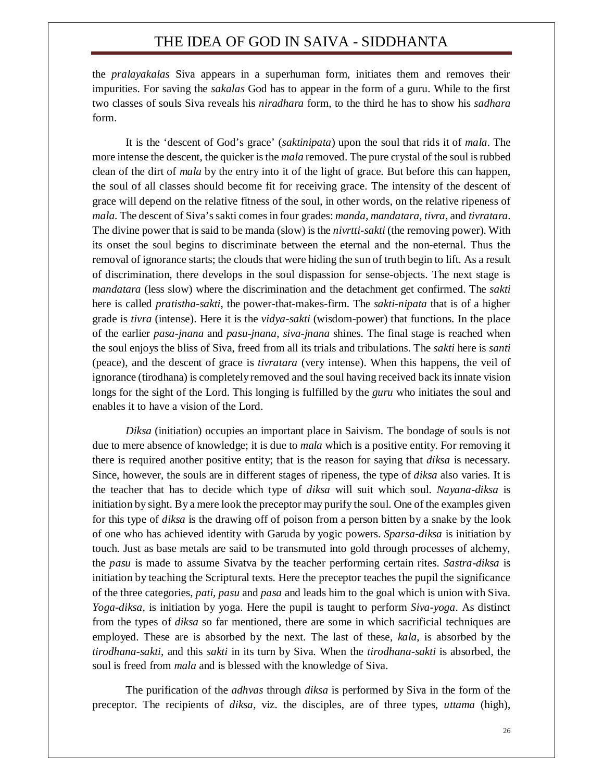the *pralayakalas* Siva appears in a superhuman form, initiates them and removes their impurities. For saving the *sakalas* God has to appear in the form of a guru. While to the first two classes of souls Siva reveals his *niradhara* form, to the third he has to show his *sadhara* form.

It is the 'descent of God's grace' (*saktinipata*) upon the soul that rids it of *mala*. The more intense the descent, the quicker is the *mala* removed. The pure crystal of the soul is rubbed clean of the dirt of *mala* by the entry into it of the light of grace. But before this can happen, the soul of all classes should become fit for receiving grace. The intensity of the descent of grace will depend on the relative fitness of the soul, in other words, on the relative ripeness of *mala*. The descent of Siva's sakti comes in four grades: *manda*, *mandatara*, *tivra*, and *tivratara*. The divine power that is said to be manda (slow) is the *nivrtti-sakti* (the removing power). With its onset the soul begins to discriminate between the eternal and the non-eternal. Thus the removal of ignorance starts; the clouds that were hiding the sun of truth begin to lift. As a result of discrimination, there develops in the soul dispassion for sense-objects. The next stage is *mandatara* (less slow) where the discrimination and the detachment get confirmed. The *sakti*  here is called *pratistha-sakti*, the power-that-makes-firm. The *sakti-nipata* that is of a higher grade is *tivra* (intense). Here it is the *vidya-sakti* (wisdom-power) that functions. In the place of the earlier *pasa-jnana* and *pasu-jnana*, *siva-jnana* shines. The final stage is reached when the soul enjoys the bliss of Siva, freed from all its trials and tribulations. The *sakti* here is *santi*  (peace), and the descent of grace is *tivratara* (very intense). When this happens, the veil of ignorance (tirodhana) is completely removed and the soul having received back its innate vision longs for the sight of the Lord. This longing is fulfilled by the *guru* who initiates the soul and enables it to have a vision of the Lord.

*Diksa* (initiation) occupies an important place in Saivism. The bondage of souls is not due to mere absence of knowledge; it is due to *mala* which is a positive entity. For removing it there is required another positive entity; that is the reason for saying that *diksa* is necessary. Since, however, the souls are in different stages of ripeness, the type of *diksa* also varies. It is the teacher that has to decide which type of *diksa* will suit which soul. *Nayana-diksa* is initiation by sight. By a mere look the preceptor may purify the soul. One of the examples given for this type of *diksa* is the drawing off of poison from a person bitten by a snake by the look of one who has achieved identity with Garuda by yogic powers. *Sparsa-diksa* is initiation by touch. Just as base metals are said to be transmuted into gold through processes of alchemy, the *pasu* is made to assume Sivatva by the teacher performing certain rites. *Sastra-diksa* is initiation by teaching the Scriptural texts. Here the preceptor teaches the pupil the significance of the three categories, *pati*, *pasu* and *pasa* and leads him to the goal which is union with Siva. *Yoga-diksa*, is initiation by yoga. Here the pupil is taught to perform *Siva-yoga*. As distinct from the types of *diksa* so far mentioned, there are some in which sacrificial techniques are employed. These are is absorbed by the next. The last of these, *kala*, is absorbed by the *tirodhana-sakti*, and this *sakti* in its turn by Siva. When the *tirodhana-sakti* is absorbed, the soul is freed from *mala* and is blessed with the knowledge of Siva.

The purification of the *adhvas* through *diksa* is performed by Siva in the form of the preceptor. The recipients of *diksa*, viz. the disciples, are of three types, *uttama* (high),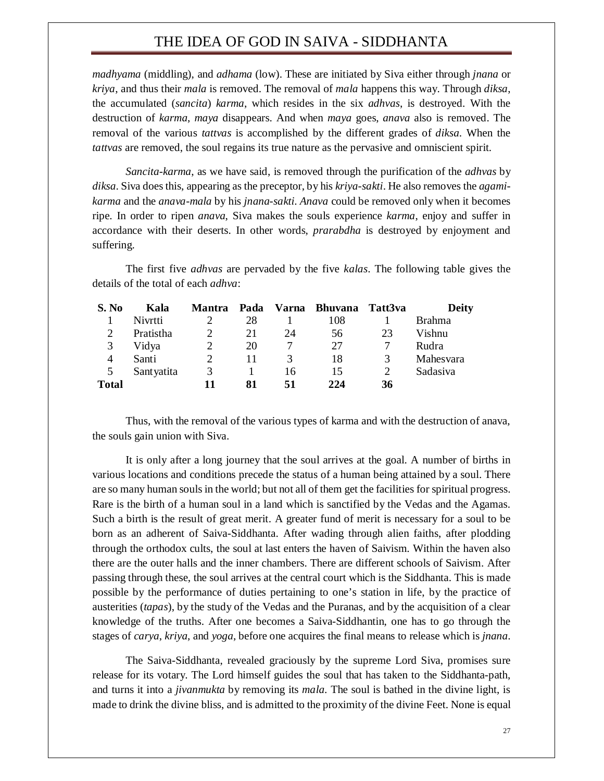*madhyama* (middling), and *adhama* (low). These are initiated by Siva either through *jnana* or *kriya*, and thus their *mala* is removed. The removal of *mala* happens this way. Through *diksa*, the accumulated (*sancita*) *karma*, which resides in the six *adhvas*, is destroyed. With the destruction of *karma*, *maya* disappears. And when *maya* goes, *anava* also is removed. The removal of the various *tattvas* is accomplished by the different grades of *diksa*. When the *tattvas* are removed, the soul regains its true nature as the pervasive and omniscient spirit.

*Sancita-karma*, as we have said, is removed through the purification of the *adhvas* by *diksa*. Siva does this, appearing as the preceptor, by his *kriya-sakti*. He also removes the *agamikarma* and the *anava-mala* by his *jnana-sakti*. *Anava* could be removed only when it becomes ripe. In order to ripen *anava*, Siva makes the souls experience *karma*, enjoy and suffer in accordance with their deserts. In other words, *prarabdha* is destroyed by enjoyment and suffering.

The first five *adhvas* are pervaded by the five *kalas*. The following table gives the details of the total of each *adhva*:

| S. No        | Kala       | <b>Mantra</b> | Pada |    | Varna Bhuvana | Tatt3va | Deity         |
|--------------|------------|---------------|------|----|---------------|---------|---------------|
|              | Nivrtti    |               | 28   |    | 108           |         | <b>Brahma</b> |
|              | Pratistha  |               | 21   | 24 | 56            | 23      | Vishnu        |
| 3            | Vidya      | 2             | 20   |    | 27            |         | Rudra         |
| 4            | Santi      | 2             | 11   |    | 18            | 3       | Mahesvara     |
| 5            | Santyatita | 3             |      | 16 | 15            | 2       | Sadasiva      |
| <b>Total</b> |            | 11            | 81   | 51 | 224           | 36      |               |

Thus, with the removal of the various types of karma and with the destruction of anava, the souls gain union with Siva.

It is only after a long journey that the soul arrives at the goal. A number of births in various locations and conditions precede the status of a human being attained by a soul. There are so many human souls in the world; but not all of them get the facilities for spiritual progress. Rare is the birth of a human soul in a land which is sanctified by the Vedas and the Agamas. Such a birth is the result of great merit. A greater fund of merit is necessary for a soul to be born as an adherent of Saiva-Siddhanta. After wading through alien faiths, after plodding through the orthodox cults, the soul at last enters the haven of Saivism. Within the haven also there are the outer halls and the inner chambers. There are different schools of Saivism. After passing through these, the soul arrives at the central court which is the Siddhanta. This is made possible by the performance of duties pertaining to one's station in life, by the practice of austerities (*tapas*), by the study of the Vedas and the Puranas, and by the acquisition of a clear knowledge of the truths. After one becomes a Saiva-Siddhantin, one has to go through the stages of *carya*, *kriya*, and *yoga*, before one acquires the final means to release which is *jnana*.

The Saiva-Siddhanta, revealed graciously by the supreme Lord Siva, promises sure release for its votary. The Lord himself guides the soul that has taken to the Siddhanta-path, and turns it into a *jivanmukta* by removing its *mala*. The soul is bathed in the divine light, is made to drink the divine bliss, and is admitted to the proximity of the divine Feet. None is equal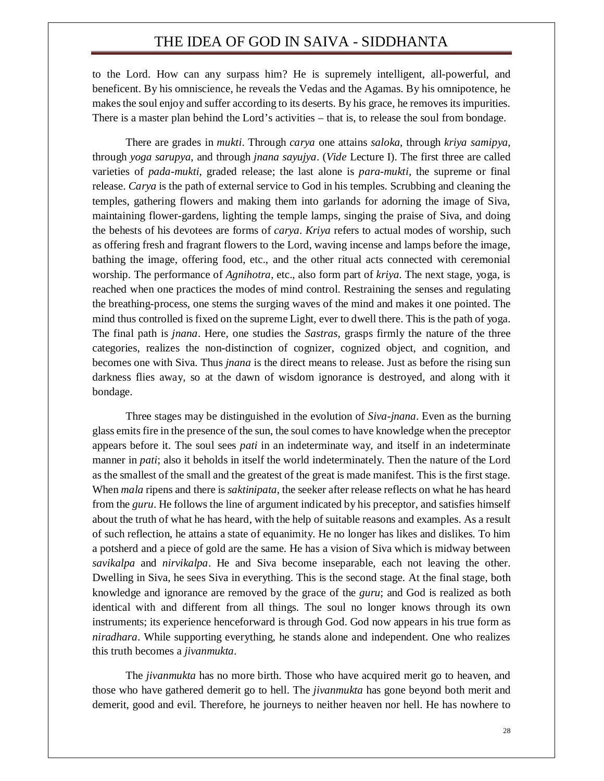to the Lord. How can any surpass him? He is supremely intelligent, all-powerful, and beneficent. By his omniscience, he reveals the Vedas and the Agamas. By his omnipotence, he makes the soul enjoy and suffer according to its deserts. By his grace, he removes its impurities. There is a master plan behind the Lord's activities – that is, to release the soul from bondage.

There are grades in *mukti*. Through *carya* one attains *saloka*, through *kriya samipya*, through *yoga sarupya*, and through *jnana sayujya*. (*Vide* Lecture I). The first three are called varieties of *pada-mukti*, graded release; the last alone is *para-mukti*, the supreme or final release. *Carya* is the path of external service to God in his temples. Scrubbing and cleaning the temples, gathering flowers and making them into garlands for adorning the image of Siva, maintaining flower-gardens, lighting the temple lamps, singing the praise of Siva, and doing the behests of his devotees are forms of *carya*. *Kriya* refers to actual modes of worship, such as offering fresh and fragrant flowers to the Lord, waving incense and lamps before the image, bathing the image, offering food, etc., and the other ritual acts connected with ceremonial worship. The performance of *Agnihotra*, etc., also form part of *kriya*. The next stage, yoga, is reached when one practices the modes of mind control. Restraining the senses and regulating the breathing-process, one stems the surging waves of the mind and makes it one pointed. The mind thus controlled is fixed on the supreme Light, ever to dwell there. This is the path of yoga. The final path is *jnana*. Here, one studies the *Sastras*, grasps firmly the nature of the three categories, realizes the non-distinction of cognizer, cognized object, and cognition, and becomes one with Siva. Thus *jnana* is the direct means to release. Just as before the rising sun darkness flies away, so at the dawn of wisdom ignorance is destroyed, and along with it bondage.

Three stages may be distinguished in the evolution of *Siva-jnana*. Even as the burning glass emits fire in the presence of the sun, the soul comes to have knowledge when the preceptor appears before it. The soul sees *pati* in an indeterminate way, and itself in an indeterminate manner in *pati*; also it beholds in itself the world indeterminately. Then the nature of the Lord as the smallest of the small and the greatest of the great is made manifest. This is the first stage. When *mala* ripens and there is *saktinipata*, the seeker after release reflects on what he has heard from the *guru*. He follows the line of argument indicated by his preceptor, and satisfies himself about the truth of what he has heard, with the help of suitable reasons and examples. As a result of such reflection, he attains a state of equanimity. He no longer has likes and dislikes. To him a potsherd and a piece of gold are the same. He has a vision of Siva which is midway between *savikalpa* and *nirvikalpa*. He and Siva become inseparable, each not leaving the other. Dwelling in Siva, he sees Siva in everything. This is the second stage. At the final stage, both knowledge and ignorance are removed by the grace of the *guru*; and God is realized as both identical with and different from all things. The soul no longer knows through its own instruments; its experience henceforward is through God. God now appears in his true form as *niradhara*. While supporting everything, he stands alone and independent. One who realizes this truth becomes a *jivanmukta*.

The *jivanmukta* has no more birth. Those who have acquired merit go to heaven, and those who have gathered demerit go to hell. The *jivanmukta* has gone beyond both merit and demerit, good and evil. Therefore, he journeys to neither heaven nor hell. He has nowhere to